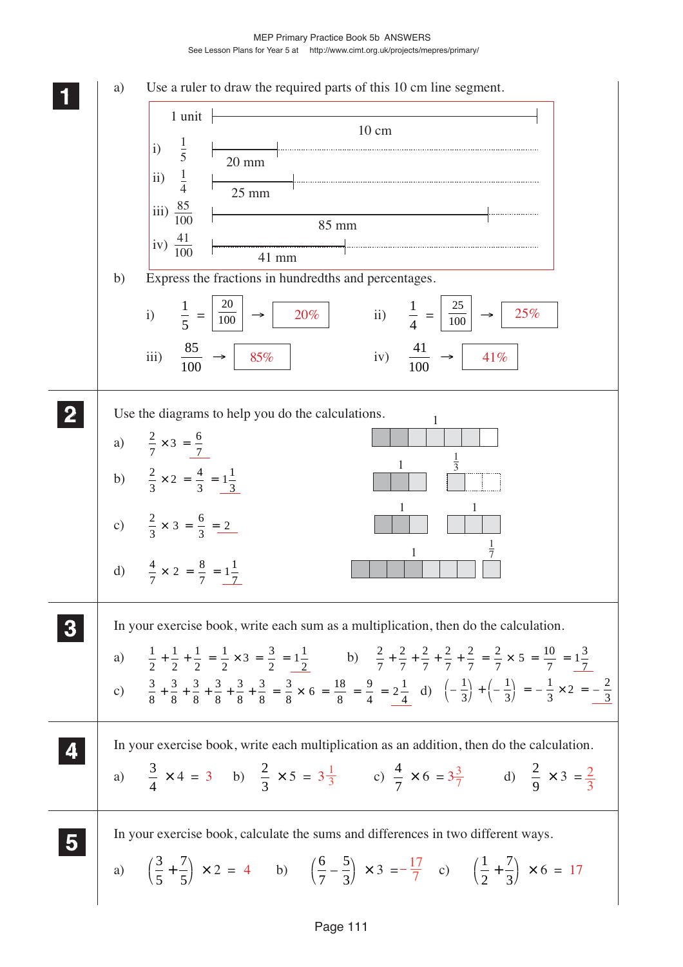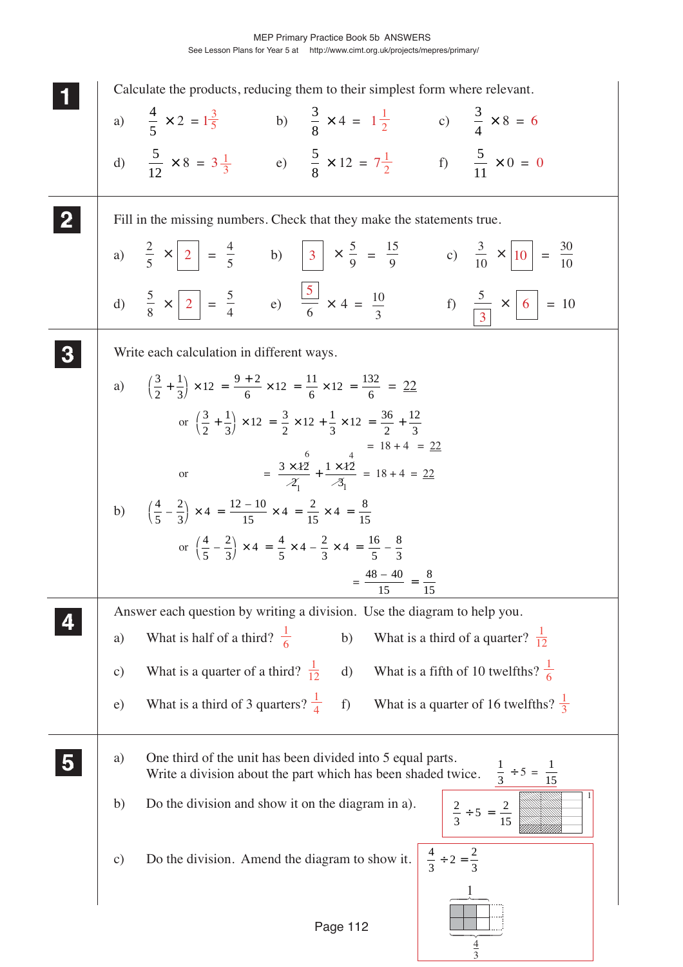|              | Calculate the products, reducing them to their simplest form where relevant.                                                                    |                                     |
|--------------|-------------------------------------------------------------------------------------------------------------------------------------------------|-------------------------------------|
|              | a) $\frac{4}{5} \times 2 = 1\frac{3}{5}$ b) $\frac{3}{8} \times 4 = 1\frac{1}{2}$ c) $\frac{3}{4} \times 8 = 6$                                 |                                     |
|              | d) $\frac{5}{12} \times 8 = 3\frac{1}{3}$ e) $\frac{5}{8} \times 12 = 7\frac{1}{2}$ f) $\frac{5}{11} \times 0 = 0$                              |                                     |
| $\mathbf{2}$ | Fill in the missing numbers. Check that they make the statements true.                                                                          |                                     |
|              | a) $\frac{2}{5} \times 2 = \frac{4}{5}$ b) $3 \times \frac{5}{9} = \frac{15}{9}$ c) $\frac{3}{10} \times 10 = \frac{30}{10}$                    |                                     |
|              | d) $\frac{5}{8} \times \boxed{2} = \frac{5}{4}$ e) $\frac{\boxed{5}}{6} \times 4 = \frac{10}{3}$ f) $\frac{5}{\boxed{3}} \times \boxed{6} = 10$ |                                     |
|              | Write each calculation in different ways.                                                                                                       |                                     |
|              | a) $\left(\frac{3}{2} + \frac{1}{3}\right) \times 12 = \frac{9+2}{6} \times 12 = \frac{11}{6} \times 12 = \frac{132}{6} = \frac{22}{6}$         |                                     |
|              | or $\left(\frac{3}{2} + \frac{1}{2}\right) \times 12 = \frac{3}{2} \times 12 + \frac{1}{2} \times 12 = \frac{36}{2} + \frac{12}{2}$             |                                     |
|              | $= 18 + 4 = 22$<br>= $\frac{3 \times 12}{2} + \frac{1 \times 12}{3} = 18 + 4 = 22$                                                              |                                     |
|              | or                                                                                                                                              |                                     |
|              | b) $\left(\frac{4}{5} - \frac{2}{3}\right) \times 4 = \frac{12 - 10}{15} \times 4 = \frac{2}{15} \times 4 = \frac{8}{15}$                       |                                     |
|              | or $\left(\frac{4}{5} - \frac{2}{3}\right) \times 4 = \frac{4}{5} \times 4 - \frac{2}{3} \times 4 = \frac{16}{5} - \frac{8}{3}$                 |                                     |
|              | $=\frac{48-40}{2}$ = -<br>15<br>15                                                                                                              |                                     |
|              | Answer each question by writing a division. Use the diagram to help you.                                                                        |                                     |
|              | What is half of a third? $\frac{1}{6}$<br>b)<br>What is a third of a quarter? $\frac{1}{12}$<br>a)                                              |                                     |
|              | What is a fifth of 10 twelfths? $\frac{1}{6}$<br>What is a quarter of a third? $\frac{1}{12}$<br>$\mathbf{d}$<br>$\mathbf{c})$                  |                                     |
|              | What is a third of 3 quarters? $\frac{1}{4}$<br>What is a quarter of 16 twelfths? $\frac{1}{3}$<br>$f$ )<br>e)                                  |                                     |
|              | One third of the unit has been divided into 5 equal parts.<br>a)<br>Write a division about the part which has been shaded twice.                | $\frac{1}{3} \div 5 = \frac{1}{15}$ |
|              | Do the division and show it on the diagram in a).<br>b)<br>$\frac{2}{3} \div 5 = \frac{2}{15}$                                                  |                                     |
|              | $rac{4}{3} \div 2 = \frac{2}{3}$<br>Do the division. Amend the diagram to show it.<br>$\mathbf{c})$                                             |                                     |
|              | Page 112                                                                                                                                        |                                     |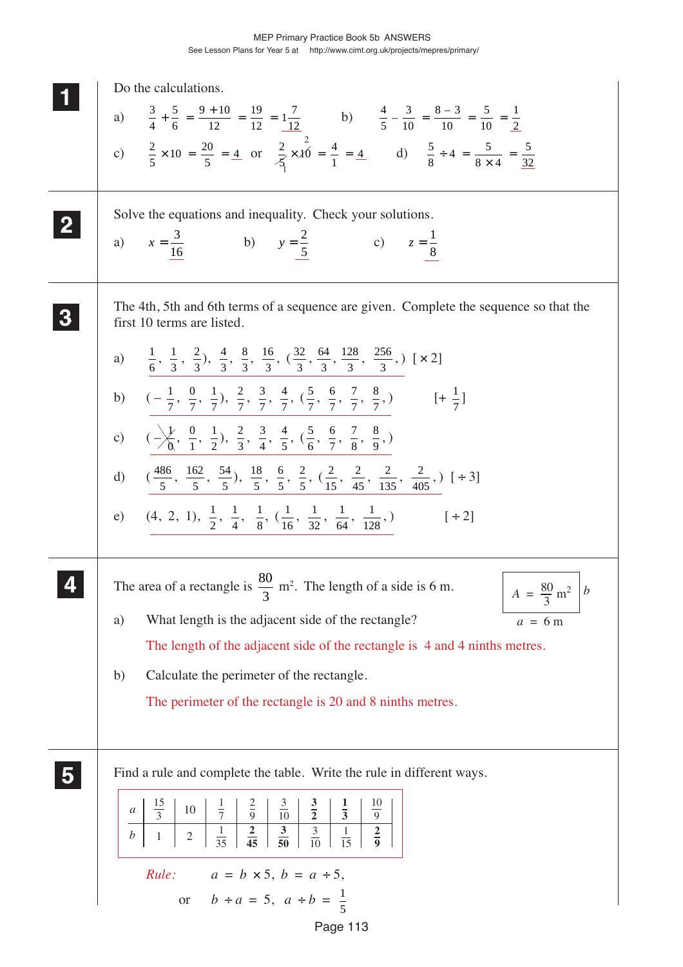|              | Do the calculations.                                                                                                                                                                                                   |
|--------------|------------------------------------------------------------------------------------------------------------------------------------------------------------------------------------------------------------------------|
|              | a) $\frac{3}{4} + \frac{5}{6} = \frac{9 + 10}{12} = \frac{19}{12} = \frac{17}{12}$ b) $\frac{4}{5} - \frac{3}{10} = \frac{8 - 3}{10} = \frac{5}{10} = \frac{1}{2}$                                                     |
|              |                                                                                                                                                                                                                        |
|              | c) $\frac{2}{5} \times 10 = \frac{20}{5} = \frac{4}{5}$ or $\frac{2}{5} \times \cancel{10} = \frac{4}{1} = \frac{4}{5}$ d) $\frac{5}{8} \div 4 = \frac{5}{8 \times 4} = \frac{5}{32}$                                  |
|              |                                                                                                                                                                                                                        |
| $\mathbf{2}$ | Solve the equations and inequality. Check your solutions.                                                                                                                                                              |
|              | a) $x = \frac{3}{16}$ b) $y = \frac{2}{5}$ c) $z = \frac{1}{8}$                                                                                                                                                        |
|              |                                                                                                                                                                                                                        |
|              | The 4th, 5th and 6th terms of a sequence are given. Complete the sequence so that the<br>first 10 terms are listed.                                                                                                    |
|              | a) $\frac{1}{6}, \frac{1}{3}, \frac{2}{3}$ , $\frac{4}{3}, \frac{8}{3}, \frac{16}{3}, (\frac{32}{3}, \frac{64}{3}, \frac{128}{3}, \frac{256}{3},)$ [× 2]                                                               |
|              |                                                                                                                                                                                                                        |
|              | b) $(-\frac{1}{7}, \frac{0}{7}, \frac{1}{7}), \frac{2}{7}, \frac{3}{7}, \frac{4}{7}, (\frac{5}{7}, \frac{6}{7}, \frac{7}{7}, \frac{8}{7})$<br>$[+\frac{1}{7}]$                                                         |
|              | c) $\left(\frac{1}{2}, \frac{0}{1}, \frac{1}{2}\right), \frac{2}{3}, \frac{3}{4}, \frac{4}{5}, \left(\frac{5}{6}, \frac{6}{7}, \frac{7}{8}, \frac{8}{9}\right)$                                                        |
|              | d) $(\frac{486}{5}, \frac{162}{5}, \frac{54}{5}), \frac{18}{5}, \frac{6}{5}, \frac{2}{5}, (\frac{2}{15}, \frac{2}{45}, \frac{2}{135}, \frac{2}{405})$ [ ÷ 3]                                                           |
|              | e) (4, 2, 1), $\frac{1}{2}$ , $\frac{1}{4}$ , $\frac{1}{8}$ , $(\frac{1}{16}, \frac{1}{32}, \frac{1}{64}, \frac{1}{128})$<br>$[\div 2]$                                                                                |
|              |                                                                                                                                                                                                                        |
|              | The area of a rectangle is $\frac{80}{3}$ m <sup>2</sup> . The length of a side is 6 m.<br>$A = \frac{80}{3} \text{ m}^2$<br>$\boldsymbol{b}$                                                                          |
|              | What length is the adjacent side of the rectangle?<br>a)<br>$a = 6m$                                                                                                                                                   |
|              | The length of the adjacent side of the rectangle is 4 and 4 ninths metres.                                                                                                                                             |
|              | Calculate the perimeter of the rectangle.<br>b)                                                                                                                                                                        |
|              | The perimeter of the rectangle is 20 and 8 ninths metres.                                                                                                                                                              |
|              |                                                                                                                                                                                                                        |
|              | Find a rule and complete the table. Write the rule in different ways.                                                                                                                                                  |
|              | $\frac{10}{9}$<br>$\frac{15}{3}$<br>$\frac{1}{3}$<br>$rac{3}{10}$<br>10<br>$\boldsymbol{a}$                                                                                                                            |
|              | $rac{3}{2}$<br>$\begin{array}{c c}\n\phantom{+}2 \\ \hline\n\phantom{+}9\n\end{array}$<br>$\frac{3}{10}$<br>$\frac{2}{9}$<br>$\frac{3}{50}$<br>$\frac{1}{35}$<br>$\frac{1}{15}$<br>b<br>$\mathfrak{2}$<br>$\mathbf{1}$ |
|              |                                                                                                                                                                                                                        |
|              | <i>Rule:</i> $a = b \times 5, b = a \div 5,$<br>or $b \div a = 5$ , $a \div b = \frac{1}{5}$                                                                                                                           |
|              |                                                                                                                                                                                                                        |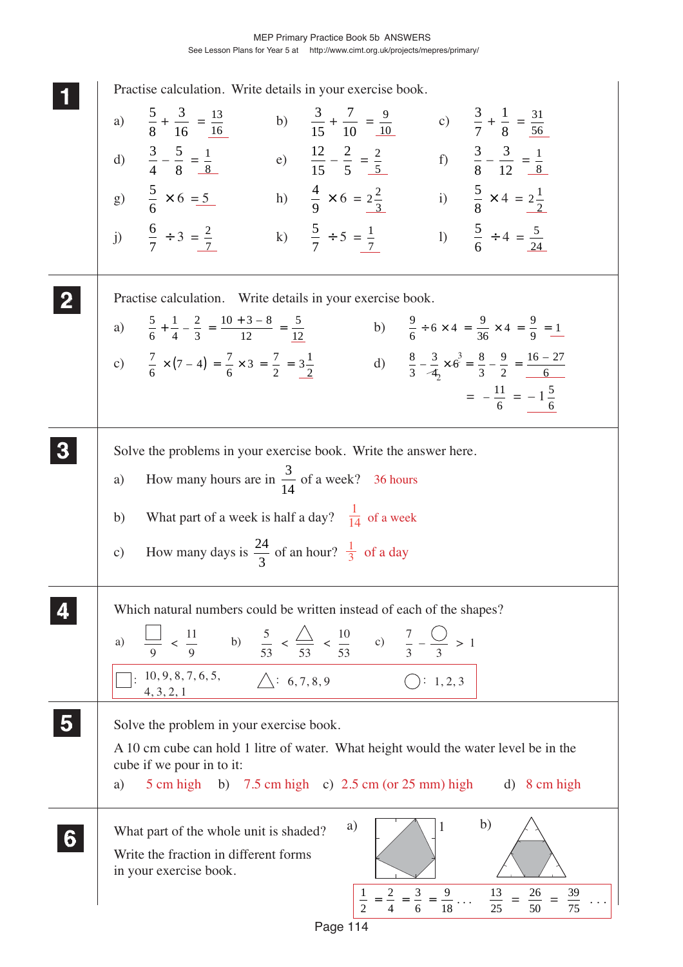**1 11 11 2 22 22 5 55 55** 2 c)  $\frac{7}{6} \times (7-4) = \frac{7}{6} \times 3 = \frac{7}{2} = \frac{3\frac{1}{2}}{2}$  d)  $\frac{8}{3} - \frac{3}{4} \times 6$  $: 10, 9, 8, 7, 6, 5,$   $\Delta: 6, 7, 8, 9$   $\therefore$  1, 2, 3 4, 3, 2, 1 a)  $\equiv$  < 9 9  $\frac{11}{2}$  b)  $\frac{5}{2}$  < 53 53  $\frac{5}{2}$  <  $\frac{\triangle}{2}$  <  $\frac{10}{53}$  c)  $\frac{7}{3} - \frac{1}{3} > 1$ **3 33 33 4 44 44** a)  $\begin{array}{|c|c|c|} \hline \end{array}$  (1 b) 1 2 2 4 3 6  $=\frac{2}{4}=\frac{3}{6}=\frac{9}{18}\ldots \frac{13}{25}$  $\frac{13}{25}$  $=\frac{26}{50}$ 50 =  $\frac{39}{75}$  ... Practise calculation. Write details in your exercise book. a)  $\frac{5}{9}$ 8  $+\frac{3}{12}$ 16  $=\frac{13}{16}$  b)  $\frac{3}{15}$  $+\frac{7}{16}$ 10  $=\frac{9}{10}$  c)  $\frac{3}{7}$  $+\frac{1}{2}$ 8  $=\frac{31}{56}$ 56 d)  $\frac{3}{4}$ 4  $-\frac{5}{6}$ 8  $=\frac{1}{8}$  e)  $\frac{12}{15} - \frac{2}{5}$  $=\frac{2}{5}$  f)  $\frac{3}{8}$  $-\frac{3}{16}$ 12  $=\frac{1}{2}$ 8 g)  $\frac{5}{5}$ 6  $\times 6 = 5$  h)  $\frac{4}{9}$ 9  $\times 6 = 2\frac{2}{3}$  i)  $\frac{5}{8}$  $\times$  4 =  $2\frac{1}{2}$ j)  $\frac{6}{7}$ 7  $\div 3 = \frac{2}{7}$  k)  $\frac{5}{7}$  $\div 5 = \frac{1}{7}$  1)  $\frac{5}{6}$  $\div 4 = \frac{5}{24}$ Practise calculation. Write details in your exercise book. a)  $\frac{5}{6}$ 1 4 2 3  $10 + 3 - 8$ 12 5  $+\frac{1}{4} - \frac{2}{3} = \frac{10 + 3 - 8}{12} = \frac{5}{12}$  <br>b)  $\frac{9}{6} \div 6 \times 4 = \frac{9}{36} \times 4 = \frac{9}{9} = 1$ 3  $\frac{3}{4} \times 6^3 = \frac{8}{3}$ 9 2  $-\frac{3}{4} \times 6^3 = \frac{8}{3} - \frac{9}{2} = \frac{16 - 27}{6}$  $= -\frac{11}{6} = -1\frac{5}{6}$ Solve the problems in your exercise book. Write the answer here. a) How many hours are in  $\frac{3}{10}$ 14 of a week? 36 hours b) What part of a week is half a day?  $\frac{1}{14}$  of a week c) How many days is  $\frac{24}{3}$ 3 of an hour?  $\frac{1}{3}$  of a day Which natural numbers could be written instead of each of the shapes? Solve the problem in your exercise book. A 10 cm cube can hold 1 litre of water. What height would the water level be in the cube if we pour in to it: a)  $5 \text{ cm high}$  b)  $7.5 \text{ cm high}$  c)  $2.5 \text{ cm (or } 25 \text{ mm)}$  high d)  $8 \text{ cm high}$ What part of the whole unit is shaded? Write the fraction in different forms in your exercise book. **6 66 66 66**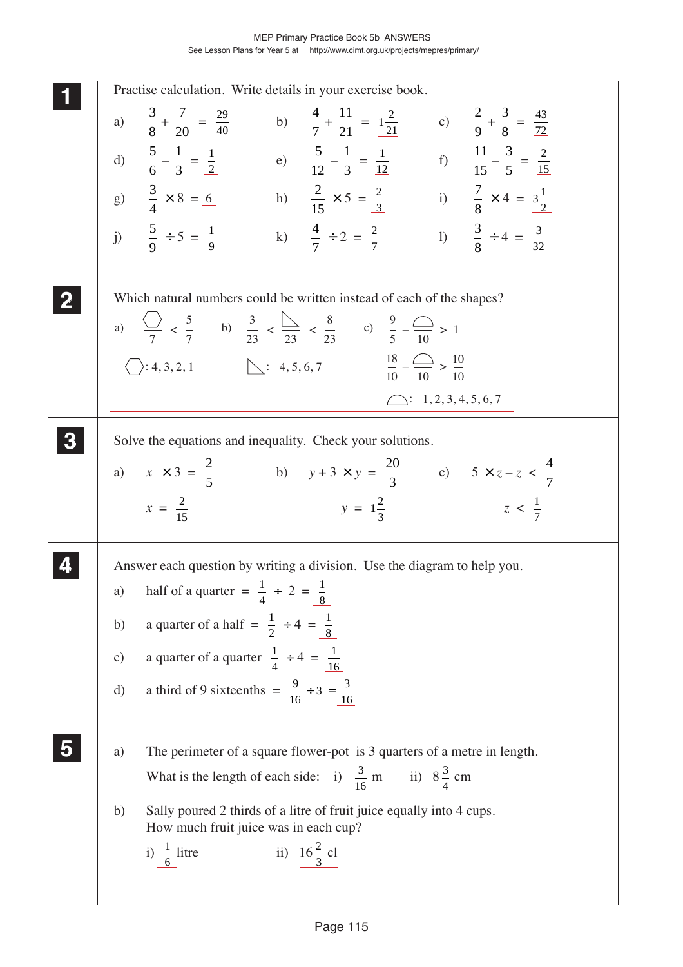| Practise calculation. Write details in your exercise book.<br>a) $\frac{3}{8} + \frac{7}{20} = \frac{29}{40}$ b) $\frac{4}{7} + \frac{11}{21} = 1\frac{2}{21}$ c) $\frac{2}{9} + \frac{3}{8} = \frac{43}{72}$<br>d) $\frac{5}{6} - \frac{1}{3} = \frac{1}{2}$ e) $\frac{5}{12} - \frac{1}{3} = \frac{1}{12}$ f) $\frac{11}{15} - \frac{3}{5} = \frac{2}{15}$<br>g) $\frac{3}{4} \times 8 = 6$<br>h) $\frac{2}{15} \times 5 = \frac{2}{3}$ i) $\frac{7}{8} \times 4 = 3\frac{1}{2}$<br>j) $\frac{5}{9} \div 5 = \frac{1}{9}$ k) $\frac{4}{7} \div 2 = \frac{2}{7}$ l) $\frac{3}{8} \div 4 = \frac{3}{32}$ |
|----------------------------------------------------------------------------------------------------------------------------------------------------------------------------------------------------------------------------------------------------------------------------------------------------------------------------------------------------------------------------------------------------------------------------------------------------------------------------------------------------------------------------------------------------------------------------------------------------------|
| Which natural numbers could be written instead of each of the shapes?<br>a) $\frac{\binom{3}{2}}{7} < \frac{5}{7}$ b) $\frac{3}{23} < \frac{\binom{3}{2}}{23} < \frac{8}{23}$ c) $\frac{9}{5} - \frac{\binom{3}{2}}{10} > 1$<br>(1): 4, 3, 2, 1<br>$\therefore$ 4, 5, 6, 7<br>$\frac{18}{10} - \frac{1}{10} > \frac{10}{10}$<br>$\bigcirc: 1, 2, 3, 4, 5, 6, 7$                                                                                                                                                                                                                                          |
| Solve the equations and inequality. Check your solutions.<br>a) $x \times 3 = \frac{2}{5}$ b) $y + 3 \times y = \frac{20}{3}$ c) $5 \times z - z < \frac{4}{7}$<br>$y = 1\frac{2}{3}$<br>$x = \frac{2}{15}$<br>$z < \frac{1}{7}$                                                                                                                                                                                                                                                                                                                                                                         |
| Answer each question by writing a division. Use the diagram to help you.<br>a) half of a quarter = $\frac{1}{4} \div 2 = \frac{1}{8}$<br>a quarter of a half = $\frac{1}{2} \div 4 = \frac{1}{8}$<br>b)<br>a quarter of a quarter $\frac{1}{4} \div 4 = \frac{1}{16}$<br>$\mathbf{c})$<br>a third of 9 sixteenths = $\frac{9}{16} \div 3 = \frac{3}{16}$<br>$\mathrm{d}$                                                                                                                                                                                                                                 |
| The perimeter of a square flower-pot is 3 quarters of a metre in length.<br>a)<br>What is the length of each side: i) $\frac{3}{16}$ m ii) $8\frac{3}{4}$ cm<br>Sally poured 2 thirds of a litre of fruit juice equally into 4 cups.<br>b)<br>How much fruit juice was in each cup?<br>i) $\frac{1}{6}$ litre<br>ii) $16\frac{2}{3}$ cl                                                                                                                                                                                                                                                                  |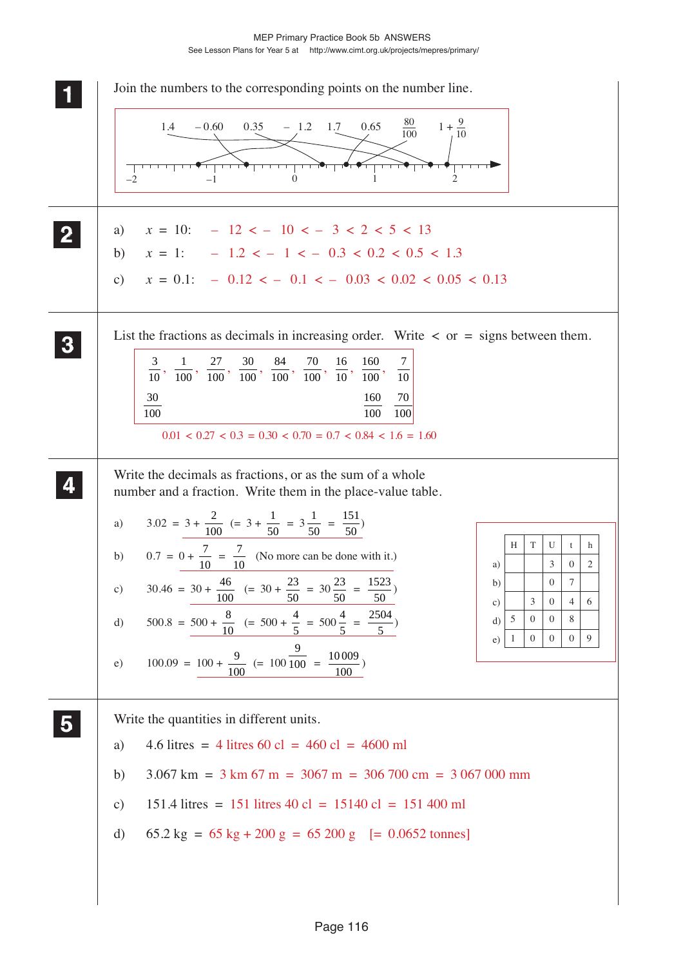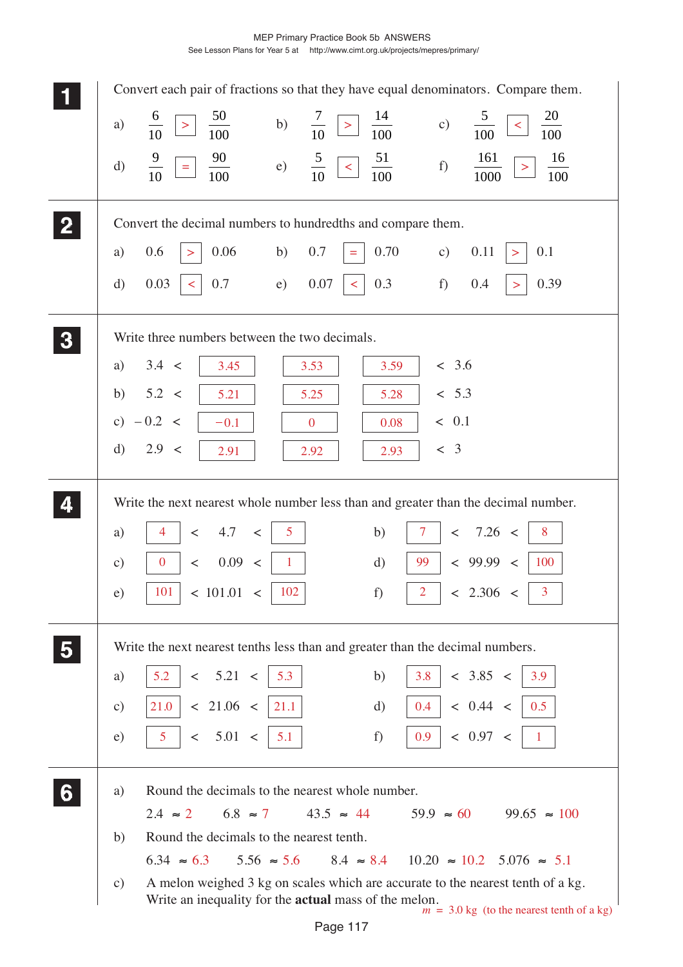|   |               | Convert each pair of fractions so that they have equal denominators. Compare them.                                                                                                             |
|---|---------------|------------------------------------------------------------------------------------------------------------------------------------------------------------------------------------------------|
|   | a)            | $\frac{50}{100}$<br>$\frac{5}{ }$<br>20<br>$\frac{6}{10}$<br>$\frac{7}{10}$<br>b)<br>c)<br>$\geq$<br>$\frac{1}{100}$<br>$\,>$<br>$\prec$<br>$\frac{1}{100}$<br>100                             |
|   | $\mathbf{d}$  | $\frac{9}{10}$<br>$\frac{90}{100}$<br>$\frac{5}{10}$<br>$\frac{51}{100}$<br>161<br>16<br>e)<br>$\vert$ <<br>f)<br>$\equiv$<br>100<br>1000                                                      |
|   |               | Convert the decimal numbers to hundredths and compare them.                                                                                                                                    |
|   | a)            | 0.06<br>0.70<br>0.6<br>b)<br>0.7<br>$\mathbf{c})$<br>0.11<br>0.1<br>$\equiv$<br>$\, > \,$<br>>                                                                                                 |
|   | $\mathrm{d}$  | e)<br>0.3<br>f)<br>0.39<br>0.03<br>0.7<br>0.07<br>0.4<br>$\prec$<br>$\prec$<br>$\, > \,$                                                                                                       |
|   |               | Write three numbers between the two decimals.                                                                                                                                                  |
|   | a)            | 3.4 <<br>< 3.6<br>3.45<br>3.53<br>3.59                                                                                                                                                         |
|   | b)            | 5.2 <<br>< 5.3<br>5.21<br>5.25<br>5.28                                                                                                                                                         |
|   |               | c) $-0.2 <$<br>< 0.1<br>$-0.1$<br>0.08<br>$\overline{0}$                                                                                                                                       |
|   | $\mathbf{d}$  | 2.9 <<br>< 3<br>2.91<br>2.92<br>2.93                                                                                                                                                           |
|   |               | Write the next nearest whole number less than and greater than the decimal number.                                                                                                             |
|   | a)            | 4.7<br>5 <sup>5</sup><br>7.26 <<br>b)<br>8<br>$\lt$<br>$\,<\,$<br>7<br>$\lt$                                                                                                                   |
|   | $\mathbf{c})$ | 0.09<br>< 99.99 <<br>$\overline{0}$<br>99<br>100<br>$\mathbf{1}$<br>$\mathbf{d}$<br>$\prec$<br>$\,<$                                                                                           |
|   | e)            | < 101.01 <<br>< 2.306 <<br>$\overline{2}$<br>$\overline{3}$<br>101<br>102<br>f)                                                                                                                |
|   |               |                                                                                                                                                                                                |
|   |               | Write the next nearest tenths less than and greater than the decimal numbers.                                                                                                                  |
|   | a)            | < 5.21 <<br>< 3.85 <<br>5.2<br>b)<br>5.3<br>3.8<br>3.9                                                                                                                                         |
|   | $\mathbf{c})$ | < 0.44 <<br>< 21.06 <  <br>0.5<br>21.0<br>21.1<br>0.4<br>$\mathrm{d}$                                                                                                                          |
|   | e)            | < 0.97 <<br>0.9<br>$5\overline{)}$<br>< 5.01 <<br>$\overline{1}$<br>5.1<br>f)                                                                                                                  |
| 6 | a)            | Round the decimals to the nearest whole number.                                                                                                                                                |
|   |               | $43.5 \approx 44$ $59.9 \approx 60$ $99.65 \approx 100$<br>$6.8 \approx 7$<br>$2.4 \approx 2$                                                                                                  |
|   | b)            | Round the decimals to the nearest tenth.                                                                                                                                                       |
|   |               | $6.34 \approx 6.3$ $5.56 \approx 5.6$ $8.4 \approx 8.4$ $10.20 \approx 10.2$ $5.076 \approx 5.1$                                                                                               |
|   | $\mathbf{c})$ | A melon weighed 3 kg on scales which are accurate to the nearest tenth of a kg.<br>Write an inequality for the <b>actual</b> mass of the melon.<br>$m = 3.0$ kg (to the nearest tenth of a kg) |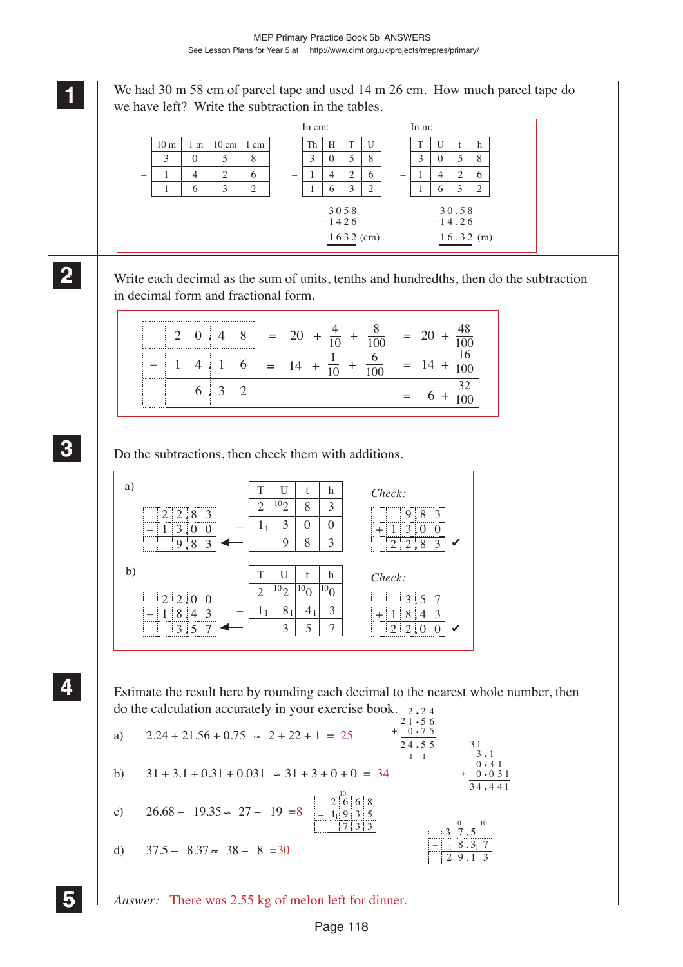We had 30 m 58 cm of parcel tape and used 14 m 26 cm. How much parcel tape do

**1 11** we have left? Write the subtraction in the tables. Write each decimal as the sum of units, tenths and hundredths, then do the subtraction in decimal form and fractional form. Do the subtractions, then check them with additions. Estimate the result here by rounding each decimal to the nearest whole number, then do the calculation accurately in your exercise book.  $2 \cdot 24$ a)  $2.24 + 21.56 + 0.75 \approx 2 + 22 + 1 = 25$ b)  $31 + 3.1 + 0.31 + 0.031 \approx 31 + 3 + 0 + 0 = 34$ **2 22 22 3 33 33 4 44 44** 3 0 5 8  $1 | 4 | 2 | 6$  $1 \t6 \t3 \t2$ 8 6 2 5 2 3  $\overline{0}$ 4 6 3 1 1 30 58 6 2  $4 \mid 2$  $1 \mid 6 \mid 3$ 1 3058  $-1426$ 1632 (cm)  $10 \text{ m}$  1 m  $10 \text{ cm}$  1 cm –  $Th$   $H$   $T$  U – In cm:  $T$  U t h – In m:  $-1426$   $30.58$ <br>  $-14.26$   $-14.26$  $16.32 \text{ (m)}$  $20148$  $-$  14.16  $= 20 + \frac{4}{10} + \frac{8}{100} = 20 + \frac{48}{100}$  $= 14 +$  $\frac{1}{10} + \frac{6}{100} = 14 +$ 632 100 16 100  $= 6 + \frac{1}{100}$ 32 a) **T** U t h *Check:* b)  $\boxed{T}$  U t h *Check*:  $2|2|0|0$ 18.43  $T$  U t h –  $T$  U t h –  $2|2|8|3$  $-$  1300  $9.83$   $\leftarrow$  | 9 | 8 | 3  $3 \mid 0 \mid 0$ 28 3 1 1  $2^{10}2$  8 3  $+ 1300$  $2 | 2 | 8 | 3$  $357 - 357$  $8_1$  4<sub>1</sub> 3  $2^{10}2^{10}0^{10}0$ 1 1  $8<sub>1</sub>$  $^{10}2$  $\overline{102}$  $\begin{array}{|c|c|c|}\n 3.5 & 7 \\
 \hline\n 8.4 & 3 \\
 \end{array}$  $+ 18,4$  $2 | 2 | 0 | 0$  $2\cdot 2\cdot 4$ <br>2 1  $\cdot 5\cdot 6$  $21 \cdot 56$ <br>+ 0.75  $\frac{0.75}{24.55}$ 1 1  $\frac{1}{3}$ .1  $3 \cdot 1$ <br> $0 \cdot 31$  $0 \cdot 31$ <br> $0 \cdot 031$  $\frac{34.441}{}$ + 31

*Answer:* There was 2.55 kg of melon left for dinner.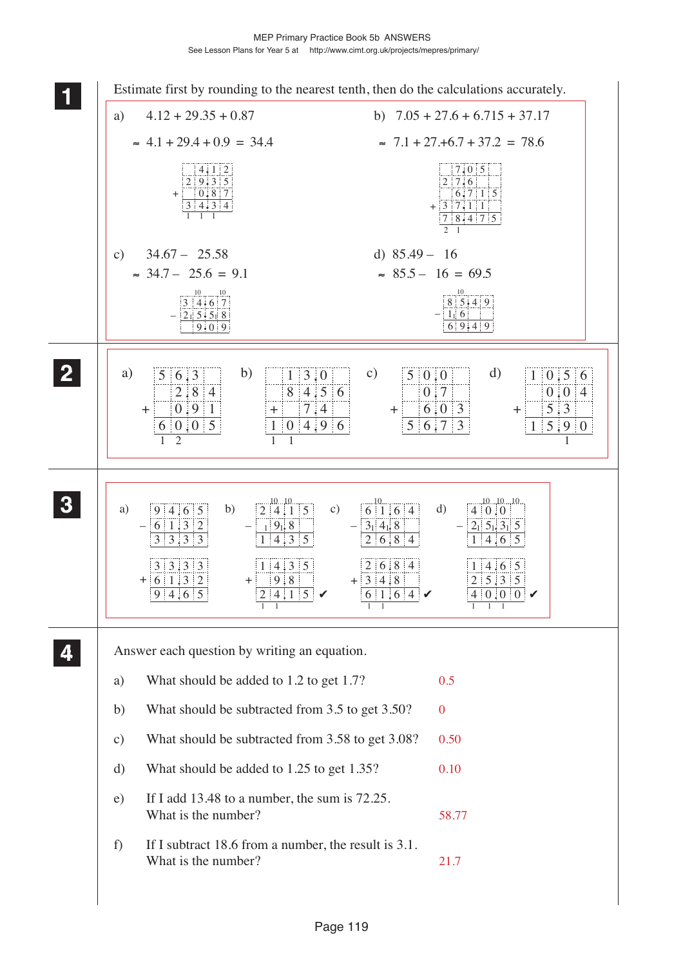MEP Primary Practice Book 5b ANSWERS See Lesson Plans for Year 5 at http://www.cimt.org.uk/projects/mepres/primary/

| 1              |                                                                                                         | Estimate first by rounding to the nearest tenth, then do the calculations accurately.                                                                                                                                                                                                                                                                                           |
|----------------|---------------------------------------------------------------------------------------------------------|---------------------------------------------------------------------------------------------------------------------------------------------------------------------------------------------------------------------------------------------------------------------------------------------------------------------------------------------------------------------------------|
|                | $4.12 + 29.35 + 0.87$<br>a)                                                                             | b) $7.05 + 27.6 + 6.715 + 37.17$                                                                                                                                                                                                                                                                                                                                                |
|                | $\approx 4.1 + 29.4 + 0.9 = 34.4$                                                                       | $\approx 7.1 + 27. + 6.7 + 37.2 = 78.6$                                                                                                                                                                                                                                                                                                                                         |
|                | $\frac{4.1}{2}$ , $\frac{2}{9}$ , $\frac{3}{5}$<br>$+ 0.87$<br>$3 \mid 4 \mid 3 \mid 4$                 | 7.0 5<br>$2 \mid 7.6$<br>$6.7$   1   5<br>$+3$ 7.11<br>78.475<br>$2 \quad 1$                                                                                                                                                                                                                                                                                                    |
|                | $34.67 - 25.58$<br>$\mathbf{c})$                                                                        | d) $85.49 - 16$                                                                                                                                                                                                                                                                                                                                                                 |
|                | $\approx$ 34.7 - 25.6 = 9.1                                                                             | $\approx$ 85.5 - 16 = 69.5                                                                                                                                                                                                                                                                                                                                                      |
|                | $\frac{10}{3}$ $\frac{10}{4 \cdot 6}$ $\frac{10}{7}$<br>$-215.518$<br>$9 \cdot 0$ 9                     | $\begin{array}{c}\n10 \\ 8 \overline{\smash{\big)}\ 5 \cdot 4} \\ 9\n\end{array}$<br>$-116$<br>6 9.4 9                                                                                                                                                                                                                                                                          |
| $\overline{2}$ | b)<br>a)<br>$5 \, 6.3$<br>2:8:4<br>0.91<br>$\pm$<br>6 0 0 5<br>$\overline{2}$                           | d)<br>$\mathbf{c})$<br>$1 \,   \, 3 \, . 0$<br>5 0.0 <br>$1 \ 0.5 \ 6$<br>$8 \mid 4.5 \mid 6$<br>0.7<br>0.014<br>5:3<br>7.4<br>6.03<br>$+$ :<br>$+$<br>$\pm$<br>$5 \, \, 6 \, \, 7$<br>$\overline{\phantom{a}3}$<br>5.9 0<br>4.96<br>$\overline{0}$<br>1 <sup>1</sup><br>1<br>$\mathbf{1}$<br>1                                                                                 |
| $\mathbf{3}$   | b)<br>a)<br>9 4 6 5<br>$- 6 1 3 2$<br>3 3 3 3<br>3 3 3 3<br>$+   6   1   3   2  $<br>$+$ 9.8<br>9 4,6 5 | $\frac{10}{2}$ $\frac{10}{4}$ $\frac{10}{1}$ 5<br>101010<br>$\frac{10}{6}$ 1.6 4<br>$\mathbf{c})$<br>d)<br>4 0.0 <br>$1 \, 9$ <sub>1</sub> , 8<br>$3_1$ 4 <sub>1</sub> , 8<br>$ 2_1 $ 5 <sub>1</sub> , 3 <sub>1</sub> 5<br>2 6 8 4<br>1 4 3 5<br>$1 \mid 4.6 \mid 5$<br> 2 6 8 4<br>1 4 3 5<br>1 4.6 5<br> 2 5.3 5<br>$+3148$<br>6 1,6 4<br>$\begin{array}{c} 0.00 \end{array}$ |
|                | Answer each question by writing an equation.                                                            |                                                                                                                                                                                                                                                                                                                                                                                 |
|                | What should be added to 1.2 to get 1.7?<br>a)                                                           | 0.5                                                                                                                                                                                                                                                                                                                                                                             |
|                | b)                                                                                                      | What should be subtracted from 3.5 to get 3.50?<br>$\boldsymbol{0}$                                                                                                                                                                                                                                                                                                             |
|                | $\mathbf{c})$                                                                                           | What should be subtracted from 3.58 to get 3.08?<br>0.50                                                                                                                                                                                                                                                                                                                        |
|                | What should be added to 1.25 to get 1.35?<br>d)                                                         | 0.10                                                                                                                                                                                                                                                                                                                                                                            |
|                | If I add 13.48 to a number, the sum is $72.25$ .<br>e)<br>What is the number?                           | 58.77                                                                                                                                                                                                                                                                                                                                                                           |
|                | f<br>What is the number?                                                                                | If I subtract 18.6 from a number, the result is 3.1.<br>21.7                                                                                                                                                                                                                                                                                                                    |
|                |                                                                                                         |                                                                                                                                                                                                                                                                                                                                                                                 |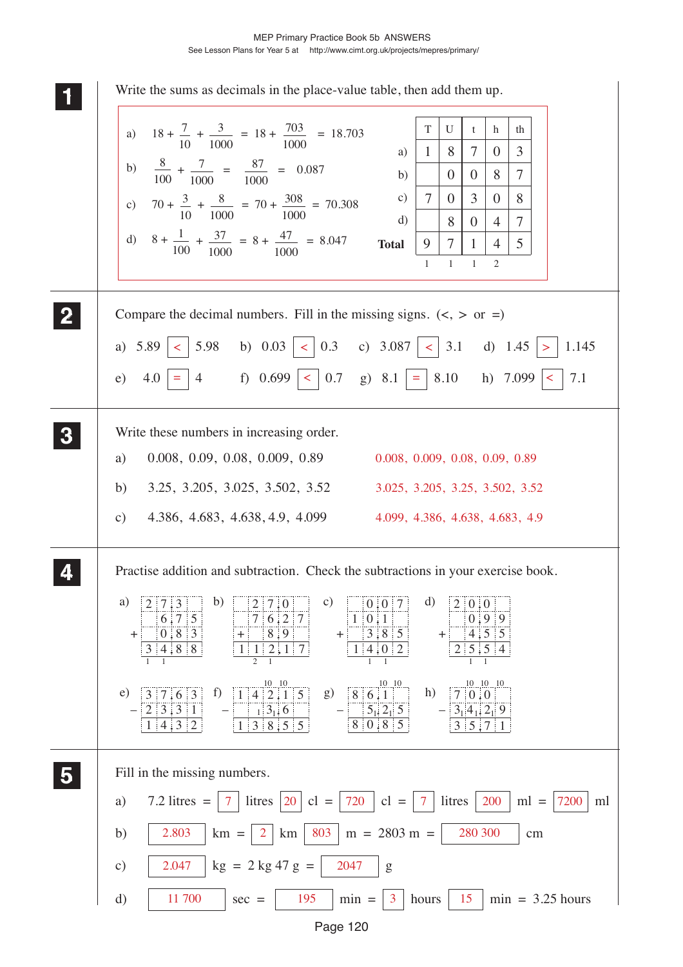| Write the sums as decimals in the place-value table, then add them up.                                                                                                                                                                                                                                                                                                                    |    |
|-------------------------------------------------------------------------------------------------------------------------------------------------------------------------------------------------------------------------------------------------------------------------------------------------------------------------------------------------------------------------------------------|----|
| $\mathcal T$<br>U<br>a) $18 + \frac{7}{10} + \frac{3}{1000} = 18 + \frac{703}{1000} = 18.703$<br>th<br>t<br>h                                                                                                                                                                                                                                                                             |    |
| $\tau$<br>$\mathfrak{Z}$<br>8<br>$\mathbf{1}$<br>$\left( \right)$<br>a)                                                                                                                                                                                                                                                                                                                   |    |
| b) $\frac{8}{100} + \frac{7}{1000} = \frac{87}{1000} = 0.087$<br>$\tau$<br>8<br>$\overline{0}$<br>$\overline{0}$<br>b)                                                                                                                                                                                                                                                                    |    |
| $\tau$<br>$\mathbf{c})$<br>$\mathfrak{Z}$<br>8<br>$\overline{0}$<br>c) $70 + \frac{3}{10} + \frac{8}{1000} = 70 + \frac{308}{1000} = 70.308$<br>$\overline{0}$                                                                                                                                                                                                                            |    |
| d)<br>8<br>$\overline{0}$<br>$\overline{4}$<br>$\tau$<br>d) $8 + \frac{1}{100} + \frac{37}{1000} = 8 + \frac{47}{1000} = 8.047$<br>9<br>$\tau$<br><b>Total</b><br>$5^{\circ}$<br>$\mathbf{1}$<br>$\overline{4}$                                                                                                                                                                           |    |
| $\mathbf{1}$<br>-1<br>$\mathbf{1}$<br>2                                                                                                                                                                                                                                                                                                                                                   |    |
|                                                                                                                                                                                                                                                                                                                                                                                           |    |
| $\mathbf{2}$<br>Compare the decimal numbers. Fill in the missing signs. $(<, >$ or =)                                                                                                                                                                                                                                                                                                     |    |
| a) $5.89 \mid \langle \,   \, 5.98 \,   \, b \rangle$ 0.03 $\mid \langle \,   \, 0.3 \,   \, c \rangle$ 3.087 $\mid \langle \,   \, 3.1 \,   \, d \rangle$ 1.45 $\mid \rangle$<br>1.145                                                                                                                                                                                                   |    |
| e) $4.0 = 4$ f) $0.699 = 0.7$ g) $8.1 = 8.10$ h) $7.099 < 10$<br>7.1                                                                                                                                                                                                                                                                                                                      |    |
| Write these numbers in increasing order.<br>$\bf{3}$                                                                                                                                                                                                                                                                                                                                      |    |
| 0.008, 0.09, 0.08, 0.009, 0.89<br>a)<br>0.008, 0.009, 0.08, 0.09, 0.89                                                                                                                                                                                                                                                                                                                    |    |
| b)<br>3.25, 3.205, 3.025, 3.502, 3.52<br>3.025, 3.205, 3.25, 3.502, 3.52                                                                                                                                                                                                                                                                                                                  |    |
| 4.386, 4.683, 4.638, 4.9, 4.099<br>4.099, 4.386, 4.638, 4.683, 4.9<br>$\mathbf{c})$                                                                                                                                                                                                                                                                                                       |    |
|                                                                                                                                                                                                                                                                                                                                                                                           |    |
| Practise addition and subtraction. Check the subtractions in your exercise book.                                                                                                                                                                                                                                                                                                          |    |
| b)<br>$\mathbf{c})$<br>d)<br>a)<br>0.017<br>$\left\lceil 2 \right\rceil$ 7 3<br>2 0.0 <br>$2 \mid 7 \mid 0$<br>6.75<br>7 6 2 7<br>0.999<br>$1 \ 0.1$<br>0, 8, 3<br>3 8 5<br>4.5 5<br> 8, 9 <br>$\ddot{}$<br>$\pm$<br>$+$ :<br>$+$<br>$2 \mid 5 \mid 5 \mid 4$<br>$\mathbf{3}$                                                                                                             |    |
| 4:8:8<br>$1 \mid 1 \mid 2,1 \mid 7 \mid$<br>1   4   0   2                                                                                                                                                                                                                                                                                                                                 |    |
| $\frac{10}{1}$ 4 2, 1 5<br>$\frac{10}{8}$ 6 1<br>f<br>g)<br>h)<br>e)<br> 3 7.6 3<br>$7 \overline{\smash{\big)}\ 0 \cdot 0}$<br>$-\lfloor 2 \rfloor 3 \mid 3 \mid 1 \rfloor$<br>$1 \, 3_1 \, 6$<br>$\frac{5_1 2_1 5}{8 \cdot 0 \cdot 8 \cdot 5}$<br>$-\frac{3}{14}$ , 2 <sup>1</sup> <sub>9</sub><br>$1 \,   \, 3 \,   \, 8 \,   \, 5 \,   \, 5 \,  $<br>1 4 3 2<br>$3 \mid 5 \mid 7 \mid$ |    |
| Fill in the missing numbers.                                                                                                                                                                                                                                                                                                                                                              |    |
| $7.2$ litres =<br>litres   $20$  <br>720<br>litres<br>200<br>$cl =$<br>$cl =$<br>$\overline{7}$<br>a)<br>$\tau$<br>$ml =$<br>7200                                                                                                                                                                                                                                                         | ml |
| 803<br>$m = 2803 m =$<br>2.803<br>$km = 2 \, \text{km}$<br>280 300<br>b)<br>cm                                                                                                                                                                                                                                                                                                            |    |
| $kg = 2 kg 47 g =$<br>2.047<br>2047<br>$\mathbf{c})$<br>g                                                                                                                                                                                                                                                                                                                                 |    |
| $\mathbf{d}$<br>195<br>$min =$<br>$min = 3.25$ hours<br>11 700<br>15<br>hours<br>$sec =$<br>$\mathbf{3}$                                                                                                                                                                                                                                                                                  |    |
| Page 120                                                                                                                                                                                                                                                                                                                                                                                  |    |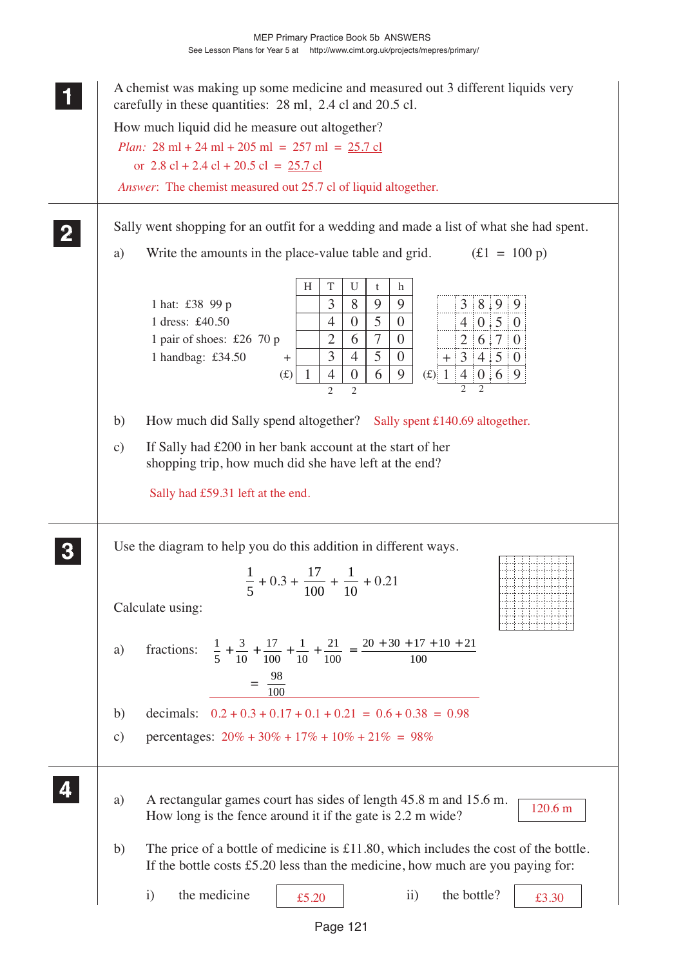| carefully in these quantities: 28 ml, 2.4 cl and 20.5 cl.                                                                                                                                                                                                                                                                                                                                                                                                                                             |
|-------------------------------------------------------------------------------------------------------------------------------------------------------------------------------------------------------------------------------------------------------------------------------------------------------------------------------------------------------------------------------------------------------------------------------------------------------------------------------------------------------|
| How much liquid did he measure out altogether?<br><i>Plan:</i> $28 \text{ ml} + 24 \text{ ml} + 205 \text{ ml} = 257 \text{ ml} = 25.7 \text{ cl}$                                                                                                                                                                                                                                                                                                                                                    |
| or $2.8$ cl + 2.4 cl + 20.5 cl = $25.7$ cl                                                                                                                                                                                                                                                                                                                                                                                                                                                            |
| Answer: The chemist measured out 25.7 cl of liquid altogether.                                                                                                                                                                                                                                                                                                                                                                                                                                        |
|                                                                                                                                                                                                                                                                                                                                                                                                                                                                                                       |
| Sally went shopping for an outfit for a wedding and made a list of what she had spent.<br>$\mathbf{2}$                                                                                                                                                                                                                                                                                                                                                                                                |
| Write the amounts in the place-value table and grid.<br>$f(1 = 100 p)$<br>a)                                                                                                                                                                                                                                                                                                                                                                                                                          |
| T<br>H<br>U<br>h<br>t<br>3<br>3 8.9 9<br>8<br>9<br>1 hat: £38 99 p<br>9<br>5<br>$4 \ 0.5 \ 0$<br>1 dress: £40.50<br>$\overline{4}$<br>$\theta$<br>$\overline{0}$<br>2 6.7 0<br>$\overline{7}$<br>$\mathbf{2}$<br>6<br>$\overline{0}$<br>1 pair of shoes: £26 70 p<br>$\overline{3}$<br>5<br>$\overline{4}$<br>$\mathbf{0}$<br>1 handbag: £34.50<br>$+34.50$<br>$\pm$<br>6<br>9<br>(£) $1  4  0.6  9$<br>$\boldsymbol{0}$<br>$\mathbf{1}$<br>$\overline{4}$<br>(f)<br>$\overline{2}$<br>$\overline{2}$ |
| How much did Sally spend altogether? Sally spent £140.69 altogether.<br>b)                                                                                                                                                                                                                                                                                                                                                                                                                            |
| If Sally had £200 in her bank account at the start of her<br>$\mathbf{c})$<br>shopping trip, how much did she have left at the end?<br>Sally had £59.31 left at the end.                                                                                                                                                                                                                                                                                                                              |
| Use the diagram to help you do this addition in different ways.<br>$\frac{1}{5} + 0.3 + \frac{17}{100} + \frac{1}{10} + 0.21$                                                                                                                                                                                                                                                                                                                                                                         |
| Calculate using:                                                                                                                                                                                                                                                                                                                                                                                                                                                                                      |
| fractions: $\frac{1}{5} + \frac{3}{10} + \frac{17}{100} + \frac{1}{10} + \frac{21}{100} = \frac{20 + 30 + 17 + 10 + 21}{100}$<br>a)<br>$=\frac{98}{100}$                                                                                                                                                                                                                                                                                                                                              |
| $0.2 + 0.3 + 0.17 + 0.1 + 0.21 = 0.6 + 0.38 = 0.98$<br>decimals:<br>b)                                                                                                                                                                                                                                                                                                                                                                                                                                |
| percentages: $20\% + 30\% + 17\% + 10\% + 21\% = 98\%$<br>c)                                                                                                                                                                                                                                                                                                                                                                                                                                          |
| A rectangular games court has sides of length 45.8 m and 15.6 m.<br>a)<br>120.6 m<br>How long is the fence around it if the gate is 2.2 m wide?                                                                                                                                                                                                                                                                                                                                                       |
| The price of a bottle of medicine is $£11.80$ , which includes the cost of the bottle.<br>b)<br>If the bottle costs $£5.20$ less than the medicine, how much are you paying for:                                                                                                                                                                                                                                                                                                                      |
| the medicine<br>the bottle?<br>$\ddot{i}$<br>$\mathbf{i}$<br>£5.20<br>£3.30                                                                                                                                                                                                                                                                                                                                                                                                                           |
| Page 121                                                                                                                                                                                                                                                                                                                                                                                                                                                                                              |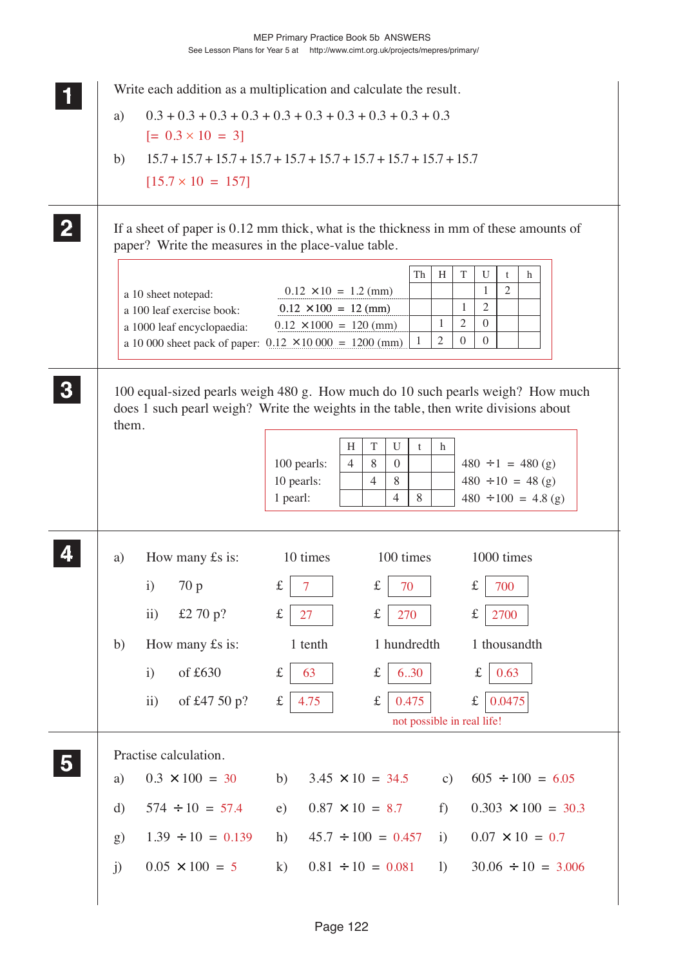|              | Write each addition as a multiplication and calculate the result.                                       |                                                              |                                                                             |                                                                                                                                                                          |
|--------------|---------------------------------------------------------------------------------------------------------|--------------------------------------------------------------|-----------------------------------------------------------------------------|--------------------------------------------------------------------------------------------------------------------------------------------------------------------------|
| a)           |                                                                                                         |                                                              |                                                                             |                                                                                                                                                                          |
|              | $[= 0.3 \times 10 = 3]$                                                                                 |                                                              |                                                                             |                                                                                                                                                                          |
| b)           | $15.7 + 15.7 + 15.7 + 15.7 + 15.7 + 15.7 + 15.7 + 15.7 + 15.7$                                          |                                                              |                                                                             |                                                                                                                                                                          |
|              | $[15.7 \times 10 = 157]$                                                                                |                                                              |                                                                             |                                                                                                                                                                          |
|              | paper? Write the measures in the place-value table.                                                     |                                                              |                                                                             | If a sheet of paper is $0.12$ mm thick, what is the thickness in mm of these amounts of                                                                                  |
|              |                                                                                                         |                                                              | Th                                                                          | T<br>H<br>U<br>t<br>h                                                                                                                                                    |
|              | a 10 sheet notepad:                                                                                     | $0.12 \times 10 = 1.2 \text{ (mm)}$                          |                                                                             | 2<br>1                                                                                                                                                                   |
|              | a 100 leaf exercise book:                                                                               | $0.12 \times 100 = 12$ (mm)                                  |                                                                             | 2<br>1<br>1<br>2<br>$\overline{0}$                                                                                                                                       |
|              | a 1000 leaf encyclopaedia:<br>a 10 000 sheet pack of paper: $0.12 \times 10\,000 = 1200 \, \text{(mm)}$ | $0.12 \times 1000 = 120$ (mm)                                | 1                                                                           | $\mathfrak{2}$<br>$\Omega$<br>$\Omega$                                                                                                                                   |
|              |                                                                                                         |                                                              |                                                                             |                                                                                                                                                                          |
| them.        |                                                                                                         | H<br>100 pearls:<br>$\overline{4}$<br>10 pearls:<br>1 pearl: | $\mathbf T$<br>U<br>t<br>8<br>$\mathbf{0}$<br>8<br>4<br>8<br>$\overline{4}$ | does 1 such pearl weigh? Write the weights in the table, then write divisions about<br>h<br>$480 \div 1 = 480$ (g)<br>$480 \div 10 = 48$ (g)<br>$480 \div 100 = 4.8$ (g) |
| a)           | How many £s is:                                                                                         | 10 times                                                     | 100 times                                                                   | 1000 times                                                                                                                                                               |
|              | i) $70 p$                                                                                               | $\mathbf f$<br>7 <sup>7</sup>                                | $\mathbf f$<br>70                                                           | $\mathbf{f}$<br>700                                                                                                                                                      |
|              | £2 70 $p$ ?<br>$\rm ii)$                                                                                | $\pounds$<br>27                                              | $\pounds$<br>270                                                            | 2700<br>£                                                                                                                                                                |
| b)           | How many £s is:                                                                                         | 1 tenth                                                      | 1 hundredth                                                                 | 1 thousandth                                                                                                                                                             |
|              | of $£630$<br>$\mathbf{i}$                                                                               | $\pounds$<br>63                                              | $\pounds$<br>6.30                                                           | 0.63<br>$\mathbf f$                                                                                                                                                      |
|              | of £47 50 p?<br>$\ddot{i}$                                                                              | 4.75<br>$\pounds$                                            | $\pounds$<br>0.475                                                          | 0.0475<br>f                                                                                                                                                              |
|              |                                                                                                         |                                                              |                                                                             | not possible in real life!                                                                                                                                               |
|              | Practise calculation.                                                                                   |                                                              |                                                                             |                                                                                                                                                                          |
| a)           | $0.3 \times 100 = 30$                                                                                   | $3.45 \times 10 = 34.5$<br>b)                                |                                                                             | $605 \div 100 = 6.05$<br>c)                                                                                                                                              |
| $\mathbf{d}$ | $574 \div 10 = 57.4$                                                                                    | e)                                                           | $0.87 \times 10 = 8.7$                                                      | $0.303 \times 100 = 30.3$<br>$f$ )                                                                                                                                       |
| g)           | $1.39 \div 10 = 0.139$                                                                                  | h)                                                           | $45.7 \div 100 = 0.457$                                                     | $0.07 \times 10 = 0.7$<br>i)                                                                                                                                             |
| j)           | $0.05 \times 100 = 5$                                                                                   | $\bf k)$                                                     | $0.81 \div 10 = 0.081$                                                      | $30.06 \div 10 = 3.006$<br>$\left( \right)$                                                                                                                              |
|              |                                                                                                         |                                                              |                                                                             |                                                                                                                                                                          |
|              |                                                                                                         |                                                              |                                                                             |                                                                                                                                                                          |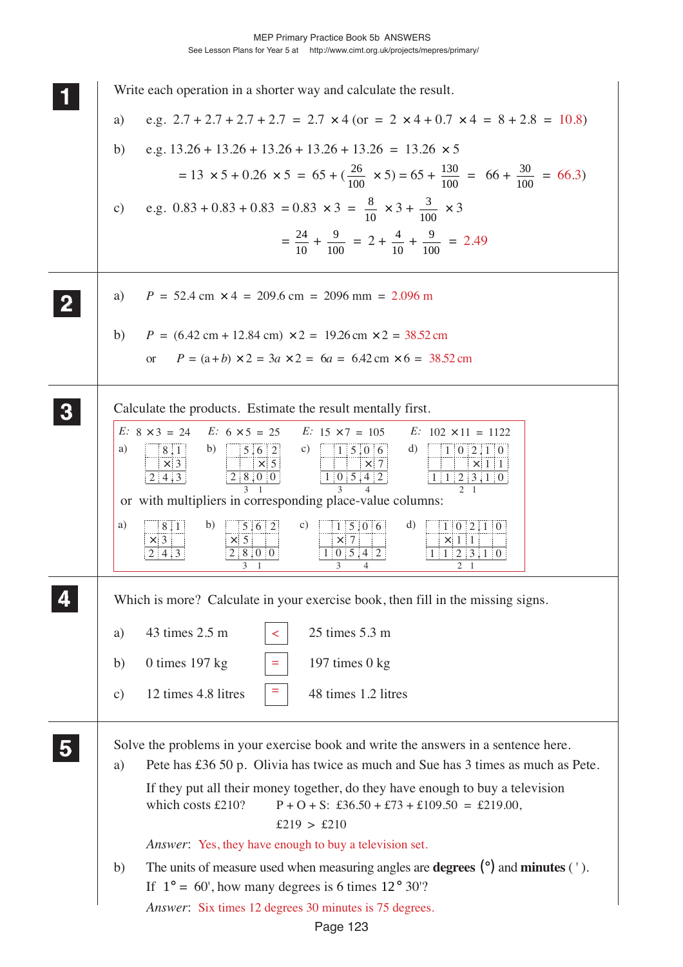|   | Write each operation in a shorter way and calculate the result.                                                                                                                                                                                               |
|---|---------------------------------------------------------------------------------------------------------------------------------------------------------------------------------------------------------------------------------------------------------------|
|   | e.g. $2.7 + 2.7 + 2.7 + 2.7 = 2.7 \times 4$ (or = 2 $\times$ 4 + 0.7 $\times$ 4 = 8 + 2.8 = 10.8)<br>a)                                                                                                                                                       |
|   | e.g. $13.26 + 13.26 + 13.26 + 13.26 + 13.26 = 13.26 \times 5$<br>b)                                                                                                                                                                                           |
|   | $= 13 \times 5 + 0.26 \times 5 = 65 + (\frac{26}{100} \times 5) = 65 + \frac{130}{100} = 66 + \frac{30}{100} = 66.3$                                                                                                                                          |
|   | e.g. $0.83 + 0.83 + 0.83 = 0.83 \times 3 = \frac{8}{10} \times 3 + \frac{3}{100} \times 3$<br>c)                                                                                                                                                              |
|   | $=\frac{24}{10} + \frac{9}{100} = 2 + \frac{4}{10} + \frac{9}{100} = 2.49$                                                                                                                                                                                    |
|   | $P = 52.4$ cm $\times$ 4 = 209.6 cm = 2096 mm = 2.096 m<br>a)                                                                                                                                                                                                 |
|   | b)<br>$P = (6.42 \text{ cm} + 12.84 \text{ cm}) \times 2 = 19.26 \text{ cm} \times 2 = 38.52 \text{ cm}$                                                                                                                                                      |
|   | $P = (a+b) \times 2 = 3a \times 2 = 6a = 6.42$ cm $\times$ 6 = 38.52 cm<br><sub>or</sub>                                                                                                                                                                      |
|   |                                                                                                                                                                                                                                                               |
| 3 | Calculate the products. Estimate the result mentally first.                                                                                                                                                                                                   |
|   | E: $8 \times 3 = 24$ E: $6 \times 5 = 25$<br>E: $15 \times 7 = 105$<br>$E: 102 \times 11 = 1122$<br>b) $5.62$<br>a)<br>8:1<br>c) $15.06$<br>d) $1 \ 0 \ 2 \ 1 \ 0$                                                                                            |
|   | $\vert \times \vert 3$<br>$\begin{array}{c c}\n & \times & 5 \\ \hline\n2 & 8 & 0 & 0\n\end{array}$<br>$\times$ 1 1<br>$\frac{x}{1}$ 0 5.4 2<br>2 4 3<br>$1 \mid 1 \mid 2 \mid 3 \mid 1 \mid 0$                                                               |
|   | $\mathfrak{D}$<br>or with multipliers in corresponding place-value columns:                                                                                                                                                                                   |
|   | a)<br>b)<br>d)<br> 5 6 2<br>c)<br>$1 \mid 5 \mid 0 \mid 6$<br>1   0   2   1   0<br>8.1<br>$\times$ 3<br>$\times$ 5<br>$\times$ 7<br>$\times$ 1 1<br>2 4 3<br>2 8 0 0 <br>1 0 5 4 2<br>$1 \,   \, 2 \,   \, 3 \,   \, 1 \,   \, 0$<br>3<br>2 <sub>1</sub><br>3 |
|   | Which is more? Calculate in your exercise book, then fill in the missing signs.                                                                                                                                                                               |
|   | 25 times 5.3 m<br>43 times 2.5 m<br>a)<br>$\lt$                                                                                                                                                                                                               |
|   | 0 times $197$ kg<br>197 times $0$ kg<br>b)                                                                                                                                                                                                                    |
|   | 12 times 4.8 litres<br>48 times 1.2 litres<br>$\mathbf{c})$                                                                                                                                                                                                   |
|   | Solve the problems in your exercise book and write the answers in a sentence here.                                                                                                                                                                            |
|   | Pete has £36 50 p. Olivia has twice as much and Sue has 3 times as much as Pete.<br>a)                                                                                                                                                                        |
|   | If they put all their money together, do they have enough to buy a television<br>which costs £210?<br>$P + O + S$ : £36.50 + £73 + £109.50 = £219.00,                                                                                                         |
|   | £219 > £210<br>Answer: Yes, they have enough to buy a television set.                                                                                                                                                                                         |
|   | The units of measure used when measuring angles are <b>degrees</b> $(\degree)$ and <b>minutes</b> $(\degree)$ .<br>b)                                                                                                                                         |
|   | If $1^\circ = 60'$ , how many degrees is 6 times $12^\circ 30'$ ?                                                                                                                                                                                             |
|   | Answer: Six times 12 degrees 30 minutes is 75 degrees.                                                                                                                                                                                                        |

Page 123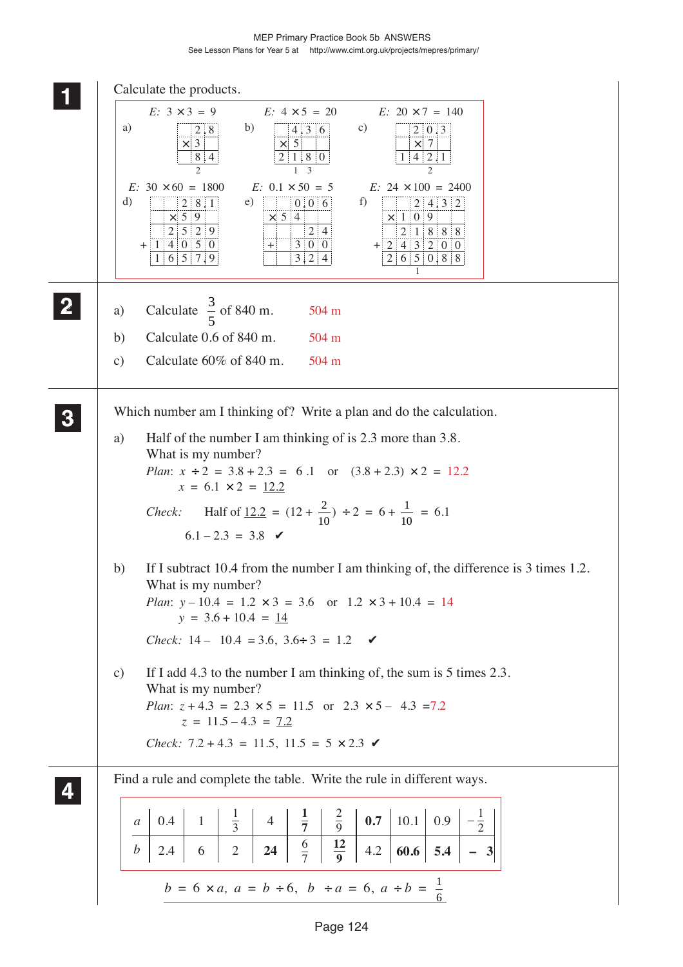MEP Primary Practice Book 5b ANSWERS See Lesson Plans for Year 5 at http://www.cimt.org.uk/projects/mepres/primary/

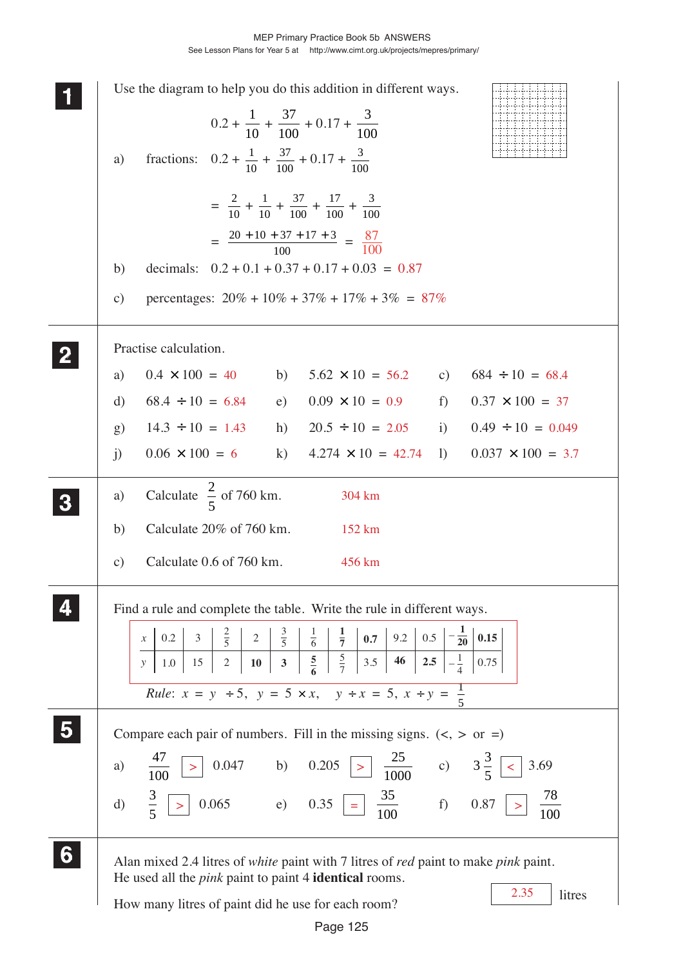| Use the diagram to help you do this addition in different ways.<br>$0.2 + \frac{1}{10} + \frac{37}{100} + 0.17 + \frac{3}{100}$<br>fractions: $0.2 + \frac{1}{10} + \frac{37}{100} + 0.17 + \frac{3}{100}$<br>a)                                                                                                                                                                                                                                                                                                                        |
|-----------------------------------------------------------------------------------------------------------------------------------------------------------------------------------------------------------------------------------------------------------------------------------------------------------------------------------------------------------------------------------------------------------------------------------------------------------------------------------------------------------------------------------------|
| $=\frac{2}{10} + \frac{1}{10} + \frac{37}{100} + \frac{17}{100} + \frac{3}{100}$<br>$= \frac{20 + 10 + 37 + 17 + 3}{100} = \frac{87}{100}$<br>decimals: $0.2 + 0.1 + 0.37 + 0.17 + 0.03 = 0.87$<br>b)<br>percentages: $20\% + 10\% + 37\% + 17\% + 3\% = 87\%$<br>$\mathbf{c})$                                                                                                                                                                                                                                                         |
| Practise calculation.<br>$0.4 \times 100 = 40$ b) $5.62 \times 10 = 56.2$ c) $684 \div 10 = 68.4$<br>a)<br>$68.4 \div 10 = 6.84$<br>e) $0.09 \times 10 = 0.9$ f)<br>$0.37 \times 100 = 37$<br>d)<br>$14.3 \div 10 = 1.43$ h) $20.5 \div 10 = 2.05$ i) $0.49 \div 10 = 0.049$<br>g)<br>$0.06 \times 100 = 6$ k)<br>$4.274 \times 10 = 42.74$<br>$\left( \right)$<br>$0.037 \times 100 = 3.7$<br>$\mathbf{j}$                                                                                                                             |
| Calculate $\frac{2}{5}$ of 760 km.<br>304 km<br>a)<br>Calculate 20% of 760 km.<br>b)<br>152 km<br>Calculate 0.6 of 760 km.<br>456 km<br>$\mathbf{c})$                                                                                                                                                                                                                                                                                                                                                                                   |
| Find a rule and complete the table. Write the rule in different ways.<br>$\begin{array}{c c c c}\n\frac{2}{5} & 2 & \frac{3}{5} & \frac{1}{6} & \frac{1}{7} \\ \hline\n2 & 10 & 3 & \frac{5}{6} & \frac{5}{7}\n\end{array}$<br>$-\frac{1}{20}$<br>0.15<br>$\frac{2}{5}$ 2<br>$9.2 \,   \, 0.5$<br>0.7<br>0.2<br>$\mathfrak{Z}$<br>$\boldsymbol{\mathcal{X}}$<br>3.5<br>46   2.5  <br>$-\frac{1}{4}$<br>15<br>0.75<br>1.0<br>$\mathcal{Y}$<br><i>Rule:</i> $x = y \div 5$ , $y = 5 \times x$ , $y \div x = 5$ , $x \div y = \frac{1}{5}$ |
| Compare each pair of numbers. Fill in the missing signs. $(<, >$ or =)<br>$\frac{25}{1000}$ c) $3\frac{3}{5}$<br>0.047 b) 0.205 ><br>3.69<br>$\prec$<br>a)<br>0.065 e) 0.35<br>$\frac{35}{100}$ f) 0.87<br>78<br>$rac{3}{5}$<br>$\mathbf{d}$<br>$\, > \,$<br>100                                                                                                                                                                                                                                                                        |
| Alan mixed 2.4 litres of white paint with 7 litres of red paint to make pink paint.<br>He used all the <i>pink</i> paint to paint 4 <b>identical</b> rooms.<br>2.35<br>litres<br>How many litres of paint did he use for each room?                                                                                                                                                                                                                                                                                                     |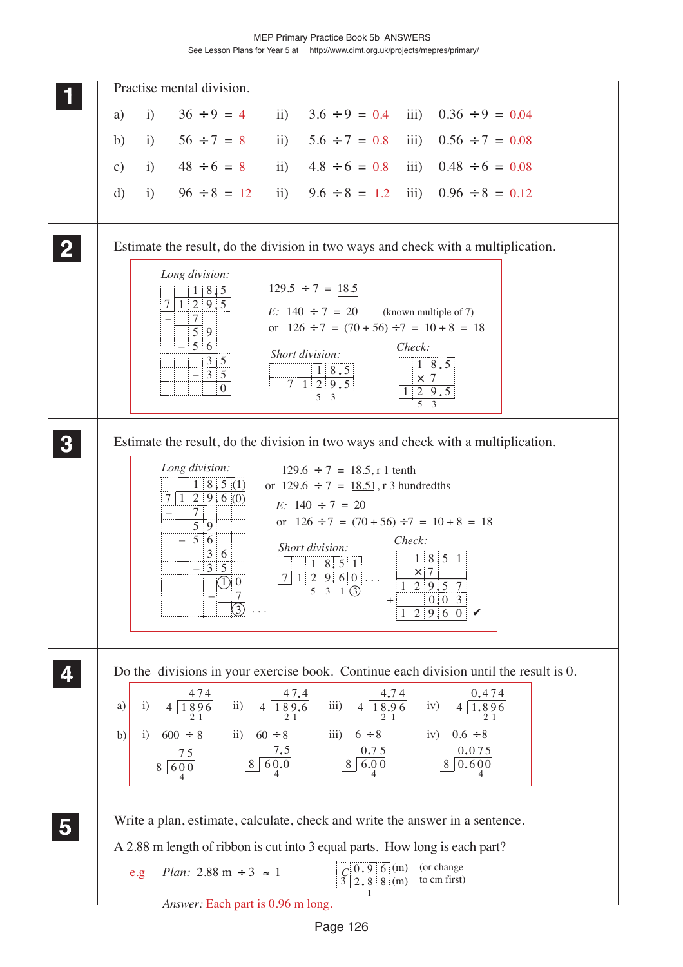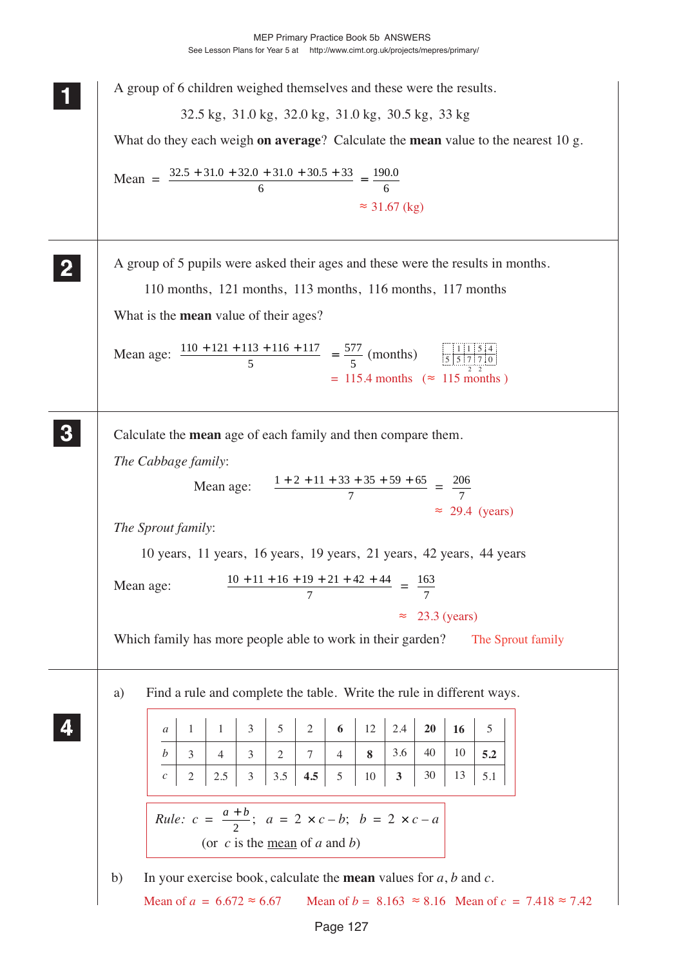| A group of 6 children weighed themselves and these were the results.                                                                                                                                                                                                                                                                                                                                                                                                                                                       |
|----------------------------------------------------------------------------------------------------------------------------------------------------------------------------------------------------------------------------------------------------------------------------------------------------------------------------------------------------------------------------------------------------------------------------------------------------------------------------------------------------------------------------|
| 32.5 kg, 31.0 kg, 32.0 kg, 31.0 kg, 30.5 kg, 33 kg<br>What do they each weigh on average? Calculate the mean value to the nearest 10 g.                                                                                                                                                                                                                                                                                                                                                                                    |
| Mean = $\frac{32.5 + 31.0 + 32.0 + 31.0 + 30.5 + 33}{6} = \frac{190.0}{6}$<br>$\approx$ 31.67 (kg)                                                                                                                                                                                                                                                                                                                                                                                                                         |
| A group of 5 pupils were asked their ages and these were the results in months.<br>110 months, 121 months, 113 months, 116 months, 117 months<br>What is the <b>mean</b> value of their ages?<br>Mean age: $\frac{110 + 121 + 113 + 116 + 117}{5} = \frac{577}{5}$ (months) $\frac{11154}{5557770}$<br>$= 115.4$ months ( $\approx 115$ months)                                                                                                                                                                            |
| Calculate the mean age of each family and then compare them.<br>The Cabbage family:<br>Mean age: $\frac{1+2+11+33+35+59+65}{7} = \frac{206}{7}$<br>$\approx$ 29.4 (years)<br>The Sprout family:<br>10 years, 11 years, 16 years, 19 years, 21 years, 42 years, 44 years<br>$10 + 11 + 16 + 19 + 21 + 42 + 44 = 163$<br>Mean age:<br>7<br>7<br>$23.3$ (years)<br>$\approx$<br>Which family has more people able to work in their garden?<br>The Sprout family                                                               |
| Find a rule and complete the table. Write the rule in different ways.<br>a)<br>2.4<br>3<br>5<br>$\overline{2}$<br>6<br>12<br>20<br>5<br>16<br>1<br>$\mathbf{1}$<br>a<br>3.6<br>40<br>10<br>b<br>$\mathfrak{Z}$<br>8<br>5.2<br>3<br>$\overline{4}$<br>2<br>7<br>4<br>$\mathfrak{Z}$<br>30<br>$\overline{c}$<br>$2.5\,$<br>$3.5$<br>4.5<br>5<br>13<br>10<br>$\mathbf{3}$<br>5.1<br>$\mathcal C$<br><i>Rule:</i> $c = \frac{a+b}{2}$ ; $a = 2 \times c-b$ ; $b = 2 \times c-a$<br>(or $c$ is the <u>mean</u> of $a$ and $b$ ) |
| In your exercise book, calculate the <b>mean</b> values for $a$ , $b$ and $c$ .<br>b)<br>Mean of $a = 6.672 \approx 6.67$<br>Mean of $b = 8.163 \approx 8.16$ Mean of $c = 7.418 \approx 7.42$                                                                                                                                                                                                                                                                                                                             |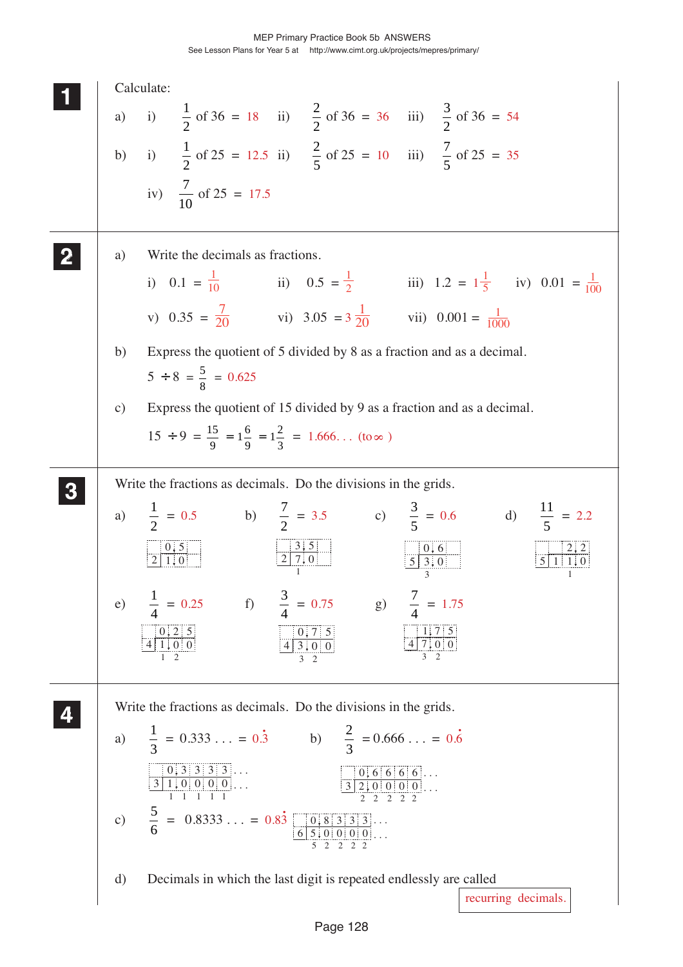|               | Calculate:                                                                                                                                                                                                                                                                                       |
|---------------|--------------------------------------------------------------------------------------------------------------------------------------------------------------------------------------------------------------------------------------------------------------------------------------------------|
| a)            | i) $\frac{1}{2}$ of 36 = 18 ii) $\frac{2}{2}$ of 36 = 36 iii) $\frac{3}{2}$ of 36 = 54                                                                                                                                                                                                           |
|               | b) i) $\frac{1}{2}$ of 25 = 12.5 ii) $\frac{2}{5}$ of 25 = 10 iii) $\frac{7}{5}$ of 25 = 35                                                                                                                                                                                                      |
|               | iv) $\frac{7}{10}$ of 25 = 17.5                                                                                                                                                                                                                                                                  |
| a)            | Write the decimals as fractions.                                                                                                                                                                                                                                                                 |
|               | i) $0.1 = \frac{1}{10}$ ii) $0.5 = \frac{1}{2}$ iii) $1.2 = 1\frac{1}{5}$ iv) $0.01 = \frac{1}{100}$                                                                                                                                                                                             |
|               | v) $0.35 = \frac{7}{20}$ vi) $3.05 = 3\frac{1}{20}$ vii) $0.001 = \frac{1}{1000}$                                                                                                                                                                                                                |
| b)            | Express the quotient of 5 divided by 8 as a fraction and as a decimal.<br>$5 \div 8 = \frac{5}{8} = 0.625$                                                                                                                                                                                       |
| $\mathbf{c})$ | Express the quotient of 15 divided by 9 as a fraction and as a decimal.<br>$15 \div 9 = \frac{15}{9} = 1\frac{6}{9} = 1\frac{2}{3} = 1.666$ (to $\infty$ )                                                                                                                                       |
|               | Write the fractions as decimals. Do the divisions in the grids.                                                                                                                                                                                                                                  |
|               | a) $\frac{1}{2} = 0.5$ b) $\frac{7}{2} = 3.5$ c) $\frac{3}{5} = 0.6$ d) $\frac{11}{5} = 2.2$                                                                                                                                                                                                     |
|               | $\frac{3.5}{2 \cdot 7.0}$<br>$\frac{0.5}{2 \cdot 1.0}$<br>$\frac{0.6}{5,3,0}$                                                                                                                                                                                                                    |
| (e)           | $\frac{1}{4} = 0.25$ f) $\frac{3}{4} = 0.75$ g) $\frac{7}{4} = 1.75$                                                                                                                                                                                                                             |
|               | $\begin{array}{c c} 0, 2 & 5 \\ 4 & 1, 0 & 0 \end{array}$<br>$\begin{array}{ c c c c c }\n\hline\n & 0.75 \\ \hline\n43.00\n\end{array}$<br>$\frac{1.75}{47.00}$<br>3 <sub>2</sub><br>$1\quad 2$<br>3 <sup>2</sup>                                                                               |
|               | Write the fractions as decimals. Do the divisions in the grids.                                                                                                                                                                                                                                  |
| a)            | $\frac{1}{3} = 0.333 = 0.\dot{3}$ b) $\frac{2}{3} = 0.666 = 0.\dot{6}$                                                                                                                                                                                                                           |
|               | $\begin{array}{ c c c c c }\hline 0 & 3 & 3 & 3 & 3 \\ \hline 3 & 1 & 0 & 0 & 0 & 0 \\ \hline 1 & 1 & 1 & 1 & 1 \\ \hline \end{array}$<br>$\begin{array}{ c c c c c c }\hline 0 & 6 & 6 & 6 & 6 & \dots \\ \hline 3 & 2 & 0 & 0 & 0 & 0 & \dots \\ \hline 2 & 2 & 2 & 2 & 2 & \dots \end{array}$ |
| $\mathbf{c})$ | $\frac{5}{6}$ = 0.8333 = 0.83 $\frac{0.833333}{6500000}$                                                                                                                                                                                                                                         |
| $\rm d)$      | Decimals in which the last digit is repeated endlessly are called<br>recurring decimals.                                                                                                                                                                                                         |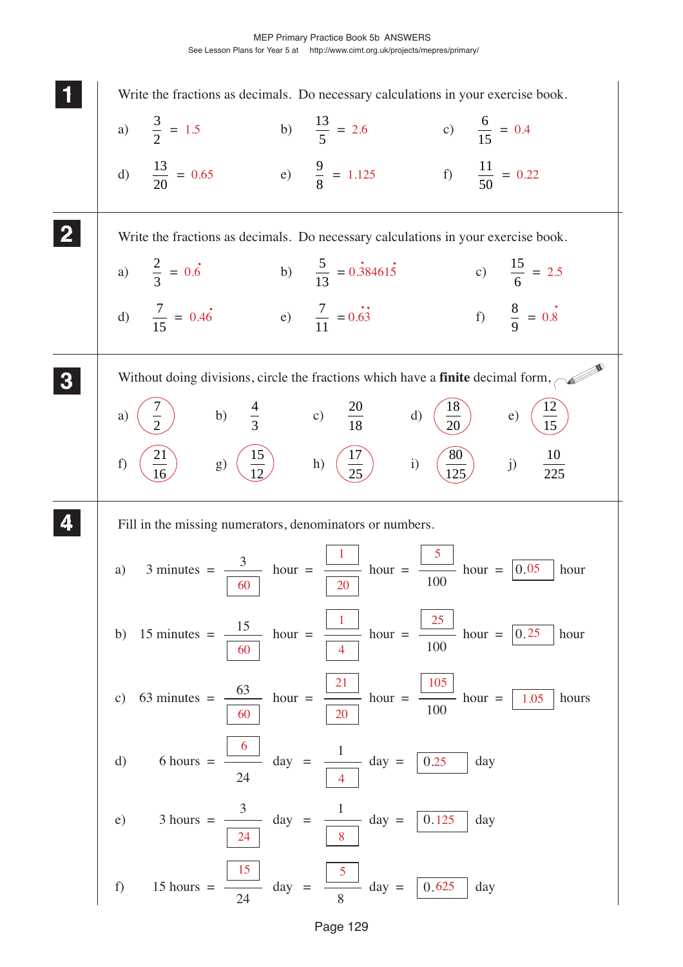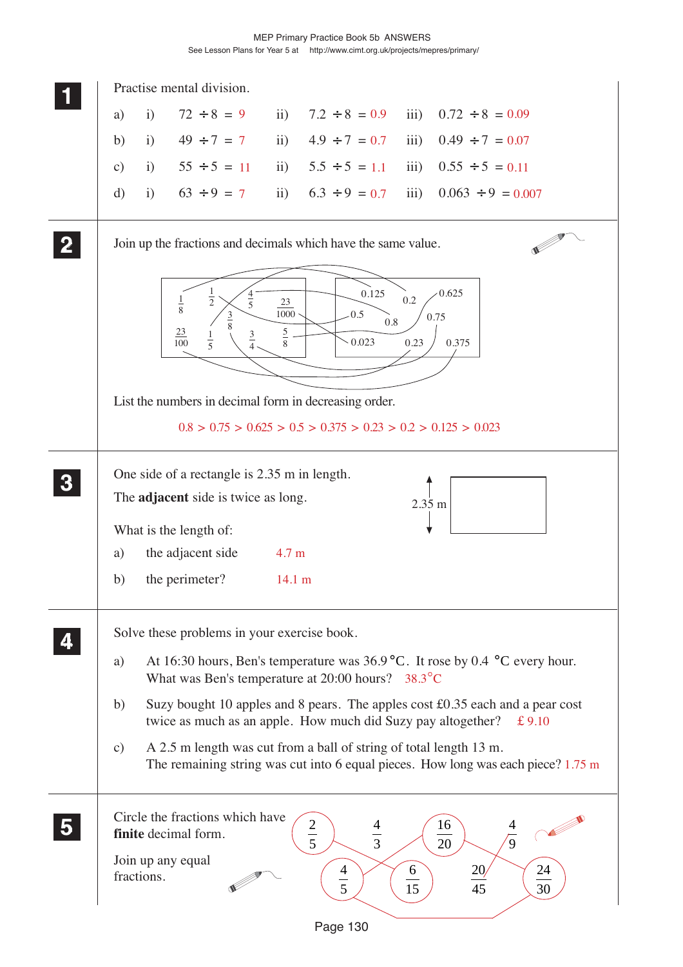|                  | Practise mental division.                                                                                                                                                                                                                                                                                                                                                                                                                                                                                                                          |
|------------------|----------------------------------------------------------------------------------------------------------------------------------------------------------------------------------------------------------------------------------------------------------------------------------------------------------------------------------------------------------------------------------------------------------------------------------------------------------------------------------------------------------------------------------------------------|
|                  | iii) $0.72 \div 8 = 0.09$<br>$\mathbf{i}$<br>$72 \div 8 = 9$<br>ii) $7.2 \div 8 = 0.9$<br>a)                                                                                                                                                                                                                                                                                                                                                                                                                                                       |
|                  | $49 \div 7 = 7$<br>$4.9 \div 7 = 0.7$<br>$\overline{11}$ )<br>$\overline{\text{iii}}$<br>$0.49 \div 7 = 0.07$<br>b)<br>$\mathbf{i}$                                                                                                                                                                                                                                                                                                                                                                                                                |
|                  | i) $55 \div 5 = 11$<br>$\mathbf{ii}$<br>$5.5 \div 5 = 1.1$<br>iii)<br>$0.55 \div 5 = 0.11$<br>$\mathbf{c})$                                                                                                                                                                                                                                                                                                                                                                                                                                        |
|                  | ii) $6.3 \div 9 = 0.7$<br>$63 \div 9 = 7$<br>iii)<br>$0.063 \div 9 = 0.007$<br>$\mathbf{i}$<br>$\mathbf{d}$                                                                                                                                                                                                                                                                                                                                                                                                                                        |
|                  | Join up the fractions and decimals which have the same value.                                                                                                                                                                                                                                                                                                                                                                                                                                                                                      |
|                  | 0.625<br>0.125<br>$\frac{1}{2}$<br>$\frac{4}{5}$<br>0.2<br>$\frac{1}{8}$<br>23<br>1000<br>0.5<br>$rac{3}{8}$<br>0.75<br>$0.8\,$<br>$\overline{23}$<br>$rac{5}{8}$<br>$\frac{3}{4}$<br>$\frac{1}{5}$<br>$\overline{100}$<br>0.023<br>0.375<br>0.23                                                                                                                                                                                                                                                                                                  |
|                  | List the numbers in decimal form in decreasing order.<br>$0.8 > 0.75 > 0.625 > 0.5 > 0.375 > 0.23 > 0.2 > 0.125 > 0.023$                                                                                                                                                                                                                                                                                                                                                                                                                           |
| $\boldsymbol{3}$ | One side of a rectangle is 2.35 m in length.<br>The <b>adjacent</b> side is twice as long.<br>2.35 m<br>What is the length of:<br>the adjacent side<br>a)<br>4.7 <sub>m</sub><br>the perimeter?<br>b)<br>$14.1 \text{ m}$                                                                                                                                                                                                                                                                                                                          |
|                  | Solve these problems in your exercise book.<br>At 16:30 hours, Ben's temperature was 36.9 °C. It rose by 0.4 °C every hour.<br>a)<br>What was Ben's temperature at $20:00$ hours? 38.3 $\degree$ C<br>Suzy bought 10 apples and 8 pears. The apples cost $\text{\pounds}0.35$ each and a pear cost<br>b)<br>twice as much as an apple. How much did Suzy pay altogether?<br>£9.10<br>A 2.5 m length was cut from a ball of string of total length 13 m.<br>c)<br>The remaining string was cut into 6 equal pieces. How long was each piece? 1.75 m |
|                  | Circle the fractions which have<br>$rac{2}{5}$<br>16<br>$\frac{4}{3}$<br>finite decimal form.<br>$\sqrt{9}$<br>$\overline{20}$<br>Join up any equal<br>24<br>$\frac{20}{2}$<br>6<br>$\frac{4}{5}$<br>fractions.<br>$\overline{45}$<br>15<br>30                                                                                                                                                                                                                                                                                                     |

Page 130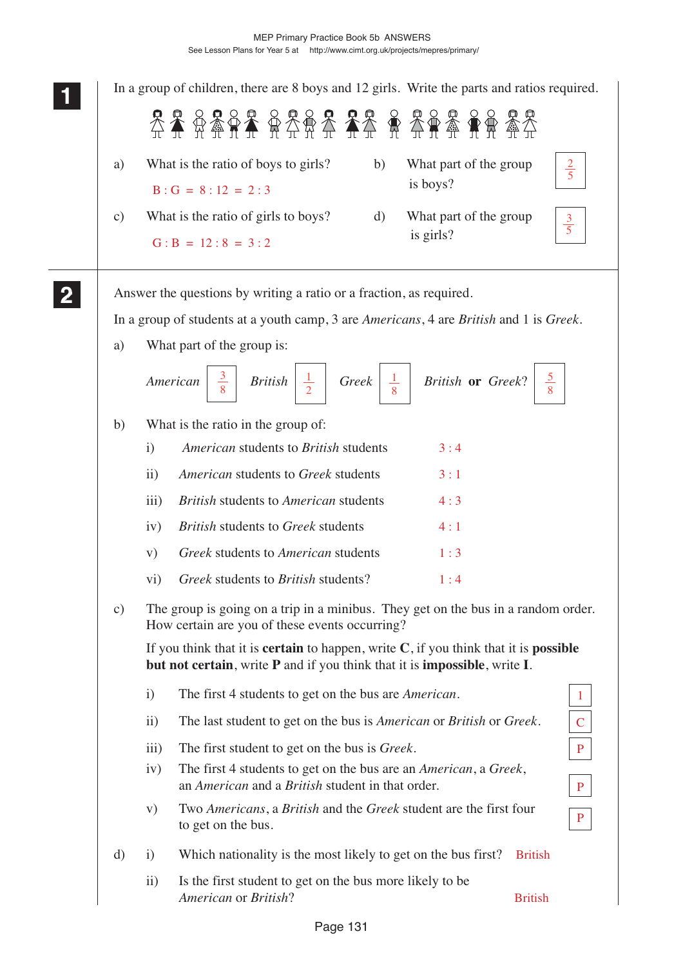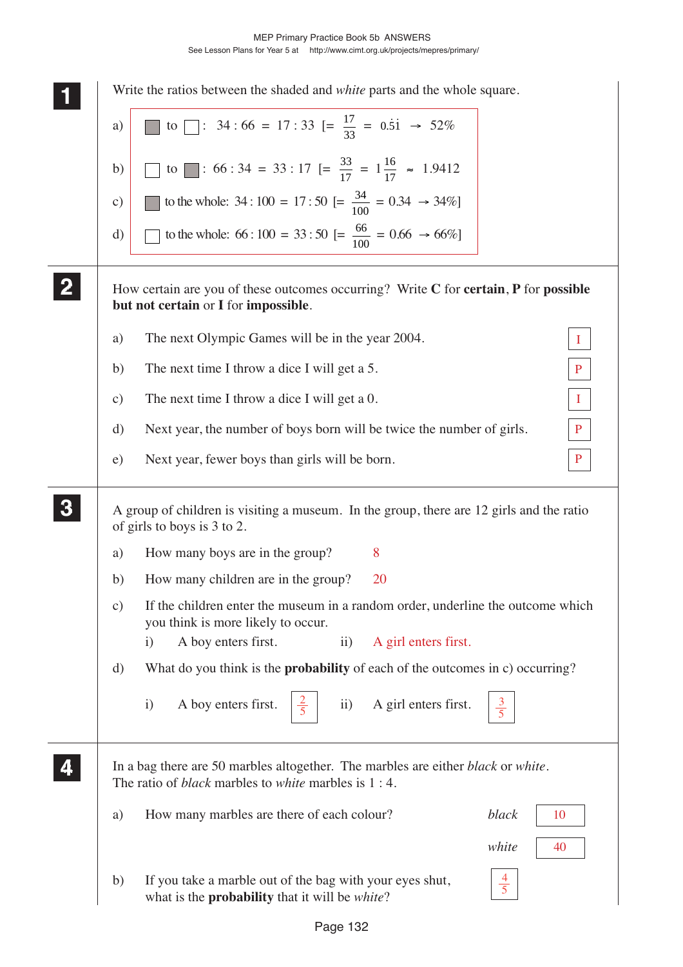|               | Write the ratios between the shaded and <i>white</i> parts and the whole square.                                                                                                                      |
|---------------|-------------------------------------------------------------------------------------------------------------------------------------------------------------------------------------------------------|
| a)            | to $\boxed{\phantom{0}}$ : 34:66 = 17:33 $\boxed{=} \frac{17}{33} = 0.5\text{ i } \rightarrow 52\%$                                                                                                   |
| b)            | to : 66 : 34 = 33 : 17 $[=\frac{33}{17} = 1\frac{16}{17} \approx 1.9412$                                                                                                                              |
| $\mathbf{c})$ | to the whole: 34 : 100 = 17 : 50 [= $\frac{34}{100}$ = 0.34 $\rightarrow$ 34%]                                                                                                                        |
| d)            | to the whole: 66 : 100 = 33 : 50 [= $\frac{66}{100}$ = 0.66 $\rightarrow$ 66%]                                                                                                                        |
|               | How certain are you of these outcomes occurring? Write C for certain, P for possible<br>but not certain or I for impossible.                                                                          |
| a)            | The next Olympic Games will be in the year 2004.                                                                                                                                                      |
| b)            | The next time I throw a dice I will get a 5.<br>P                                                                                                                                                     |
| $\mathbf{c})$ | The next time I throw a dice I will get a 0.<br>$\bf{I}$                                                                                                                                              |
| d)            | Next year, the number of boys born will be twice the number of girls.<br>$\mathbf{P}$                                                                                                                 |
| e)            | $\mathbf{P}$<br>Next year, fewer boys than girls will be born.                                                                                                                                        |
|               | A group of children is visiting a museum. In the group, there are 12 girls and the ratio<br>of girls to boys is 3 to 2.                                                                               |
| a)            | 8<br>How many boys are in the group?                                                                                                                                                                  |
| b)            | How many children are in the group?<br><b>20</b>                                                                                                                                                      |
| $\mathbf{c})$ | If the children enter the museum in a random order, underline the outcome which<br>you think is more likely to occur.<br>A boy enters first.<br>A girl enters first.<br>$\mathbf{i}$<br>$\mathbf{ii}$ |
| d)            | What do you think is the <b>probability</b> of each of the outcomes in c) occurring?                                                                                                                  |
|               | A girl enters first.<br>A boy enters first.<br>$\mathbf{i}$<br>$\rm ii)$<br>$\frac{3}{5}$                                                                                                             |
|               | In a bag there are 50 marbles altogether. The marbles are either <i>black</i> or <i>white</i> .<br>The ratio of <i>black</i> marbles to <i>white</i> marbles is 1 : 4.                                |
| a)            | How many marbles are there of each colour?<br>black<br>10                                                                                                                                             |
|               | white<br>40                                                                                                                                                                                           |
| b)            | $\frac{4}{5}$<br>If you take a marble out of the bag with your eyes shut,<br>what is the <b>probability</b> that it will be <i>white</i> ?                                                            |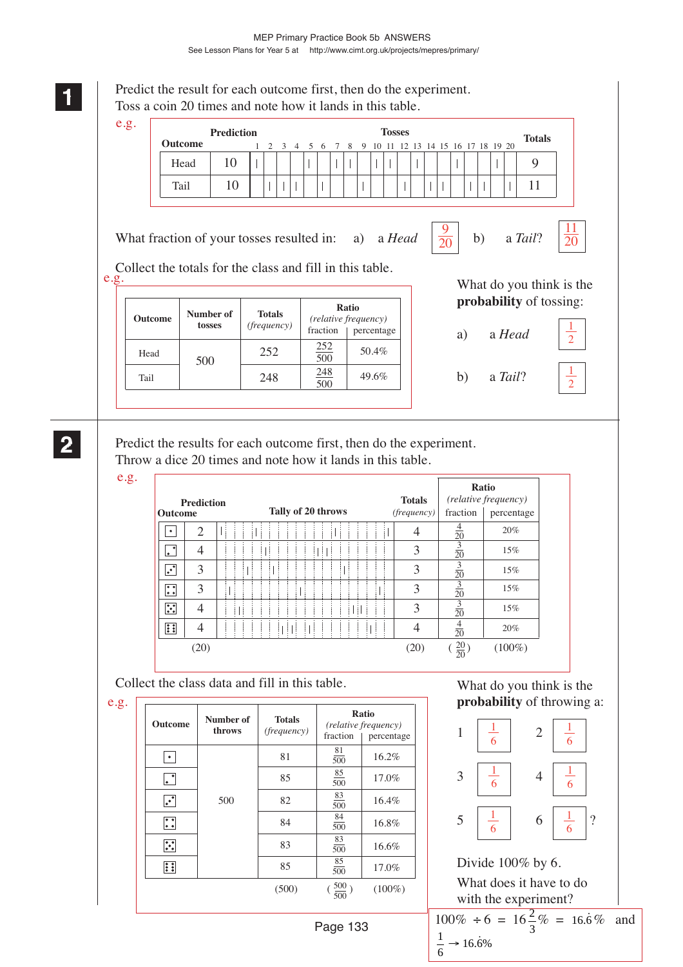

e.g.

| <b>Prediction</b><br><b>Outcome</b>        |                |  |  |  |   | Tally of 20 throws |    |  |   |  | <b>Totals</b><br>(frequency) | fraction        | <b>Ratio</b><br>(relative frequency)<br>percentage |
|--------------------------------------------|----------------|--|--|--|---|--------------------|----|--|---|--|------------------------------|-----------------|----------------------------------------------------|
| ٠                                          | $\overline{2}$ |  |  |  |   |                    |    |  |   |  | 4                            | $\frac{4}{20}$  | 20%                                                |
| ٠<br>l.                                    | 4              |  |  |  |   |                    | ÷  |  |   |  | 3                            | $\frac{3}{20}$  | 15%                                                |
| $\overline{\cdot}$                         | 3              |  |  |  |   |                    |    |  |   |  | 3                            | $\frac{3}{20}$  | 15%                                                |
| $\bullet$ $\bullet$<br>$\bullet$ $\bullet$ | 3              |  |  |  |   |                    |    |  |   |  | 3                            | $\frac{3}{20}$  | 15%                                                |
| $\mathbb{R}$                               | 4              |  |  |  |   |                    |    |  | ÷ |  | 3                            | $\frac{3}{20}$  | 15%                                                |
| 61                                         | 4              |  |  |  | ÷ | ÷                  | f, |  |   |  | 4                            | $\frac{4}{20}$  | 20%                                                |
|                                            | (20)           |  |  |  |   |                    |    |  |   |  | (20)                         | $\frac{20}{20}$ | $(100\%)$                                          |

Collect the class data and fill in this table.

e.g.  $\lceil$ 

| Outcome              | Number of<br>throws | <b>Totals</b>      | Ratio<br>(relative frequency) |            |  |  |
|----------------------|---------------------|--------------------|-------------------------------|------------|--|--|
|                      |                     | <i>(frequency)</i> | fraction                      | percentage |  |  |
| $\bullet$            |                     | 81                 | 81<br>500                     | 16.2%      |  |  |
| $\ddot{\phantom{a}}$ |                     | 85                 | 85<br>500                     | 17.0%      |  |  |
| $\cdot^{\cdot}$      | 500                 | 82                 | 83<br>500                     | 16.4%      |  |  |
| $\mathbf{C}$         |                     | 84                 | 84<br>500                     | 16.8%      |  |  |
| $\ddot{\cdot}$       |                     | 83                 | 83<br>500                     | 16.6%      |  |  |
| $\vdots$             |                     | 85                 | 85<br>500                     | 17.0%      |  |  |
|                      |                     | (500)              | $(\frac{500}{500})$           | $(100\%)$  |  |  |
|                      |                     |                    |                               |            |  |  |

# What do you think is the **probability** of throwing a:

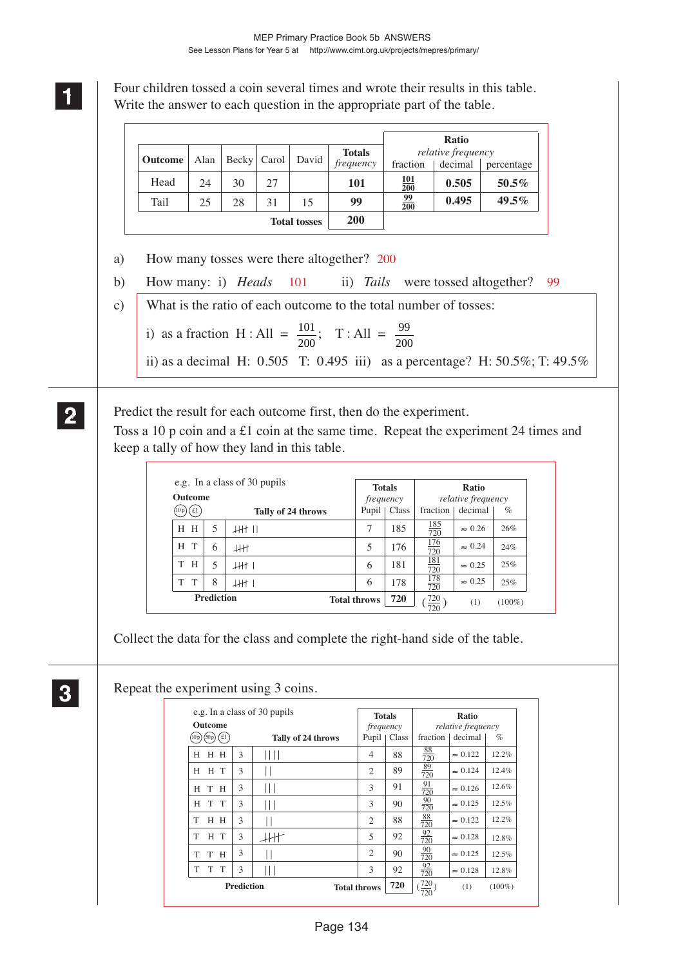**1 11 11** Four children tossed a coin several times and wrote their results in this table. Write the answer to each question in the appropriate part of the table.

|                            |      |       |       |       |               |                  | <b>Ratio</b>       |            |
|----------------------------|------|-------|-------|-------|---------------|------------------|--------------------|------------|
|                            |      |       |       | David | <b>Totals</b> |                  | relative frequency |            |
| <b>Outcome</b>             | Alan | Becky | Carol |       | frequency     | fraction         | decimal            | percentage |
| Head                       | 24   | 30    | 27    |       | 101           | 101<br>200       | 0.505              | $50.5\%$   |
| Tail                       | 25   | 28    | 31    | 15    | 99            | <u>99</u><br>200 | 0.495              | $49.5\%$   |
| 200<br><b>Total tosses</b> |      |       |       |       |               |                  |                    |            |

a) How many tosses were there altogether? 200

- b) How many: i) *Heads* 101 ii) *Tails* were tossed altogether? 99
- c) What is the ratio of each outcome to the total number of tosses:
	- i) as a fraction H : All =  $\frac{101}{200}$ ; T : All =  $\frac{99}{200}$
	- ii) as a decimal H: 0.505 T: 0.495 iii) as a percentage? H: 50.5%; T: 49.5%

# Predict the result for each outcome first, then do the experiment.

Toss a 10 p coin and a £1 coin at the same time. Repeat the experiment 24 times and keep a tally of how they land in this table.

| <b>Outcome</b>                  |                   | e.g. In a class of 30 pupils | <b>Totals</b><br>frequency |               | Ratio<br><i>relative frequency</i> |                |           |
|---------------------------------|-------------------|------------------------------|----------------------------|---------------|------------------------------------|----------------|-----------|
| £1<br>Tally of 24 throws<br>10p |                   |                              |                            | Pupil   Class | fraction                           | decimal        | $\%$      |
| H H                             | 5                 | 4H II                        | 7                          | 185           | <u> 185</u><br>720                 | $\approx 0.26$ | 26%       |
| H T                             | 6                 | łН                           | 5                          | 176           | $\frac{176}{720}$                  | $\approx 0.24$ | 24%       |
| H<br>T                          | 5                 | 11H                          | 6                          | 181           | $\frac{181}{720}$                  | $\approx 0.25$ | 25%       |
| T<br>T                          | 8                 | .HH                          | 6                          | 178           | $\frac{178}{720}$                  | $\approx 0.25$ | 25%       |
|                                 | <b>Prediction</b> |                              | <b>Total throws</b>        | 720           | $\frac{720}{720}$                  | (1)            | $(100\%)$ |

Collect the data for the class and complete the right-hand side of the table.

**3 33 33**

**2 22 22**

Repeat the experiment using 3 coins.

| <b>Outcome</b>     |                   | e.g. In a class of 30 pupils | frequency           | <b>Totals</b> |                   | Ratio<br>relative frequency |           |
|--------------------|-------------------|------------------------------|---------------------|---------------|-------------------|-----------------------------|-----------|
| (10 p) (50 p) (£1) |                   | Tally of 24 throws           |                     | Pupil   Class | fraction          | decimal                     | $\%$      |
| H<br>H H           | 3                 |                              | 4                   | 88            | $\frac{88}{720}$  | $\approx 0.122$             | 12.2%     |
| H<br>H T           | 3                 |                              | 2                   | 89            | $\frac{89}{720}$  | $\approx 0.124$             | 12.4%     |
| H<br>H<br>T        | 3                 |                              | 3                   | 91            | $\frac{91}{720}$  | $\approx 0.126$             | 12.6%     |
| T T<br>H           | 3                 | Ш                            | 3                   | 90            | $\frac{90}{720}$  | $\approx 0.125$             | 12.5%     |
| T<br>H H           | 3                 |                              | $\overline{2}$      | 88            | $\frac{88}{720}$  | $\approx 0.122$             | 12.2%     |
| H T<br>T           | 3                 |                              | 5                   | 92            | $\frac{92}{720}$  | $\approx 0.128$             | 12.8%     |
| T<br>T<br>H        | 3                 |                              | 2                   | 90            | $\frac{90}{720}$  | $\approx 0.125$             | 12.5%     |
| T<br>T<br>T.       | 3                 |                              | 3                   | 92            | $\frac{92}{720}$  | $\approx 0.128$             | 12.8%     |
|                    | <b>Prediction</b> |                              | <b>Total throws</b> | 720           | $\frac{720}{720}$ | (1)                         | $(100\%)$ |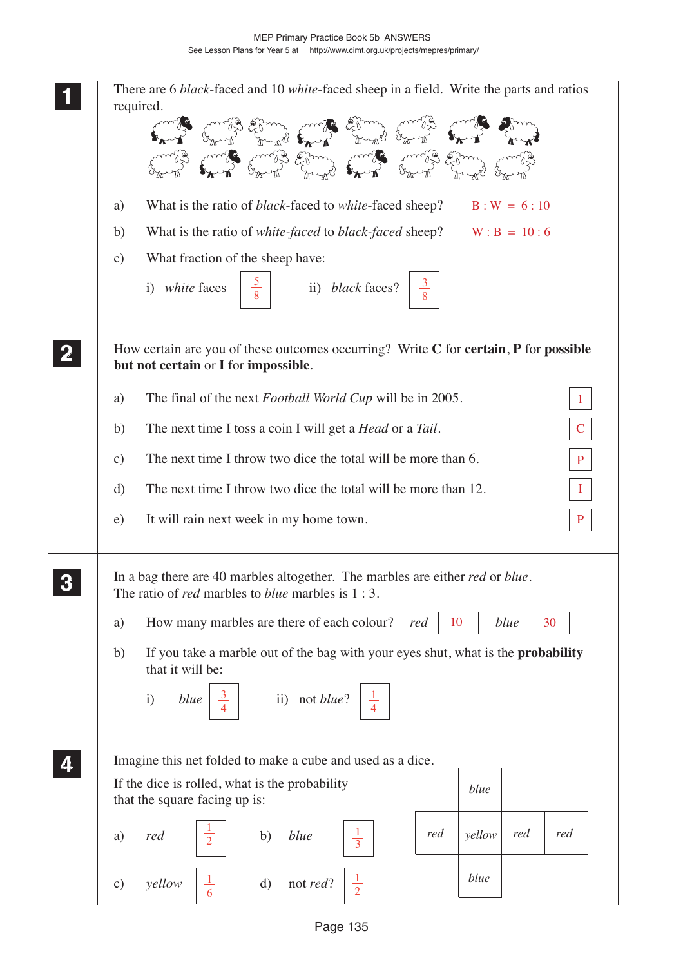| There are 6 black-faced and 10 white-faced sheep in a field. Write the parts and ratios<br>required.                                                              |
|-------------------------------------------------------------------------------------------------------------------------------------------------------------------|
| What is the ratio of <i>black</i> -faced to <i>white</i> -faced sheep?<br>$B: W = 6:10$<br>a)                                                                     |
| What is the ratio of <i>white-faced</i> to <i>black-faced</i> sheep? $W : B = 10 : 6$<br>b)                                                                       |
| What fraction of the sheep have:<br>$\mathbf{c})$                                                                                                                 |
| i) white faces<br>ii) black faces?<br>8                                                                                                                           |
| How certain are you of these outcomes occurring? Write C for certain, P for possible<br>but not certain or I for impossible.                                      |
| The final of the next <i>Football World Cup</i> will be in 2005.<br>a)<br>$\mathbf{1}$                                                                            |
| The next time I toss a coin I will get a <i>Head</i> or a <i>Tail</i> .<br>b)<br>$\mathbf C$                                                                      |
| The next time I throw two dice the total will be more than 6.<br>$\mathbf{c})$<br>$\mathbf{P}$                                                                    |
| The next time I throw two dice the total will be more than 12.<br>d)<br>$\bf{I}$                                                                                  |
| It will rain next week in my home town.<br>e)<br>$\mathbf{P}$                                                                                                     |
| In a bag there are 40 marbles altogether. The marbles are either <i>red</i> or <i>blue</i> .<br>The ratio of <i>red</i> marbles to <i>blue</i> marbles is $1:3$ . |
| How many marbles are there of each colour?<br>10<br>blue<br>30<br>red<br>a)                                                                                       |
| If you take a marble out of the bag with your eyes shut, what is the <b>probability</b><br>b)<br>that it will be:                                                 |
| ii) not <i>blue</i> ? $\frac{1}{4}$<br>$\mathbf{i}$<br>blue                                                                                                       |
| Imagine this net folded to make a cube and used as a dice.                                                                                                        |
| If the dice is rolled, what is the probability<br>blue<br>that the square facing up is:                                                                           |
| $\frac{1}{3}$<br>red<br>red<br>blue<br>red<br>yellow<br>red<br>$\frac{1}{2}$<br>b)<br>a)                                                                          |
| blue<br>$\mathrm{d}$<br>yellow<br>not <i>red</i> ?<br>$\mathbf{c})$                                                                                               |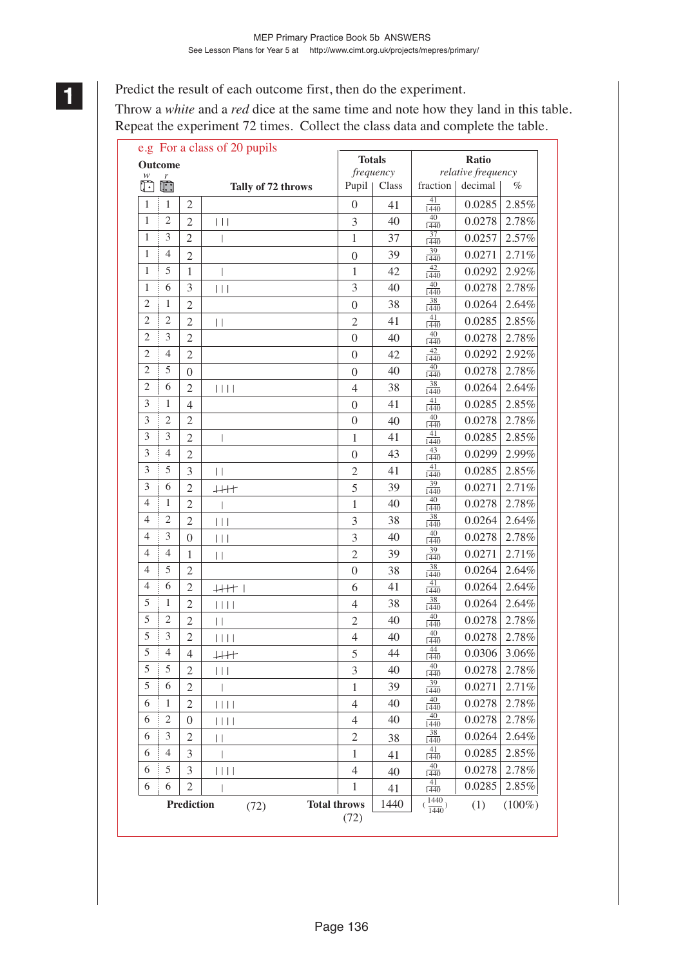Predict the result of each outcome first, then do the experiment.

Throw a *white* and a *red* dice at the same time and note how they land in this table. Repeat the experiment 72 times. Collect the class data and complete the table.

| <b>Totals</b><br>Ratio<br><b>Outcome</b><br>relative frequency<br>frequency<br>w<br>r<br>Ō<br>$\ddot{\mathbb{C}}$<br>Pupil<br>fraction  <br>decimal<br>Class<br>%<br>Tally of 72 throws<br>41<br>$\mathbf{1}$<br>$\mathbf{1}$<br>$\mathfrak{2}$<br>0.0285<br>2.85%<br>$\theta$<br>41<br>1440<br>40<br>$\overline{c}$<br>$\mathbf{1}$<br>$\overline{2}$<br>0.0278<br>2.78%<br>3<br>40<br>$\vert \ \vert \ \vert$<br>1440<br>37<br>3<br>$\overline{2}$<br>$\mathbf{1}$<br>1<br>37<br>0.0257<br>2.57%<br>1440<br>39<br>2.71%<br>1<br>4<br>0.0271<br>39<br>$\overline{2}$<br>$\boldsymbol{0}$<br>1440<br>42<br>5<br>0.0292<br>2.92%<br>1<br>$\mathbf{1}$<br>1<br>42<br>1440<br>40<br>6<br>3<br>2.78%<br>1<br>3<br>40<br>0.0278<br>$\vert \ \vert \ \vert$<br>1440<br>$\frac{38}{1440}$<br>$\mathfrak{2}$<br>2.64%<br>1<br>0.0264<br>$\overline{2}$<br>38<br>$\boldsymbol{0}$<br>41<br>$\mathfrak{2}$<br>$\overline{c}$<br>2.85%<br>41<br>0.0285<br>$\overline{2}$<br>$\mathfrak{2}$<br>$\vert \ \vert$<br>1440<br>40<br>$\overline{2}$<br>3<br>2.78%<br>0.0278<br>$\overline{2}$<br>40<br>$\boldsymbol{0}$<br>1440<br>42<br>2<br>4<br>$\overline{2}$<br>0.0292<br>2.92%<br>42<br>$\overline{0}$<br>1440<br>40<br>5<br>$\overline{2}$<br>2.78%<br>40<br>0.0278<br>$\overline{0}$<br>$\theta$<br>1440<br>38<br>$\overline{2}$<br>6<br>2.64%<br>38<br>0.0264<br>$\overline{2}$<br>$\begin{array}{c c c c c} \hline \text{ } & & \text{ } & \text{ } & \text{ } \\ \hline \end{array}$<br>$\overline{4}$<br>1440<br>41<br>3<br>1<br>41<br>0.0285<br>2.85%<br>$\overline{4}$<br>$\theta$<br>1440<br>40<br>3<br>$\overline{2}$<br>2.78%<br>$\overline{2}$<br>0.0278<br>$\boldsymbol{0}$<br>40<br>1440<br>41<br>3<br>3<br>0.0285<br>2.85%<br>$\overline{2}$<br>41<br>1<br>1440<br>43<br>3<br>2.99%<br>4<br>43<br>0.0299<br>$\overline{2}$<br>$\boldsymbol{0}$<br>1440<br>41<br>5<br>3<br>2.85%<br>3<br>0.0285<br>$\overline{2}$<br>41<br>$\vert \ \vert$<br>1440<br>39<br>3<br>6<br>2.71%<br>39<br>0.0271<br>5<br>$\mathfrak{2}$<br>$+$<br>1440<br>40<br>4<br>1<br>0.0278<br>2.78%<br>$\overline{2}$<br>40<br>$\mathbf{1}$<br>1440<br>38<br>$\overline{c}$<br>4<br>0.0264<br>2.64%<br>3<br>38<br>$\mathfrak{2}$<br>$\vert \ \vert$<br>1440<br>40<br>2.78%<br>4<br>3<br>0.0278<br>3<br>40<br>$\theta$<br>$\vert \ \vert \ \vert$<br>1440<br>39<br>$\overline{4}$<br>2.71%<br>4<br>0.0271<br>$\overline{c}$<br>39<br>1<br>$\vert \ \vert$<br>1440<br>38<br>5<br>4<br>2.64%<br>38<br>0.0264<br>$\mathfrak{2}$<br>$\boldsymbol{0}$<br>1440<br>41<br>2.64%<br>6<br>0.0264<br>4<br>41<br>$\mathfrak{2}$<br>6<br>$+$ $+$ $+$ $+$<br>1440<br>38<br>5<br>1<br>2.64%<br>38<br>0.0264<br>$\mathfrak{2}$<br>4<br>1440<br>40<br>5<br>2.78%<br>2<br>0.0278<br>$\overline{2}$<br>$\overline{2}$<br>40<br>$\overline{\phantom{a}}$<br>1440<br>40<br>5<br>3<br>$\overline{2}$<br>0.0278<br>2.78%<br>$\overline{4}$<br>40<br>$\vert \vert \vert \vert \vert$<br>1440<br>44<br>5<br>$\overline{4}$<br>$0.0306$ 3.06%<br>5<br>44<br>$\overline{4}$<br>$\downarrow \downarrow \downarrow \uparrow \uparrow$<br>1440<br>40<br>5<br>5<br>40<br>2.78%<br>$\overline{2}$<br>3<br>0.0278<br>$\vert \ \vert \ \vert$<br>1440<br>39<br>5<br>6<br>39<br>0.0271<br>2.71%<br>2<br>1<br>1440<br>40<br>0.0278<br>2.78%<br>6<br>$\mathbf{1}$<br>$\mathfrak{2}$<br>$\overline{4}$<br>40<br>$ $    $ $<br>1440<br>40<br>$2.78\%$<br>$\overline{c}$<br>40<br>0.0278<br>6<br>4<br>0<br>Ш<br>1440<br>38<br>0.0264<br>2.64%<br>$\overline{2}$<br>3<br>6<br>$\overline{c}$<br>38<br>$\vert \ \vert$<br>1440<br>41<br>2.85%<br>0.0285<br>$\overline{4}$<br>3<br>6<br>1<br>41<br>1440<br>40<br>0.0278<br>2.78%<br>6<br>5<br>3<br>4<br>$\vert \, \vert \, \vert \, \vert$<br>40<br>1440<br>$\frac{41}{1440}$<br>$2.85\%$<br>0.0285<br>6<br>6<br>$\mathfrak{2}$<br>1<br>41<br>$(\frac{1440}{1440})$<br><b>Total throws</b><br>1440<br><b>Prediction</b><br>(1)<br>$(100\%)$<br>(72)<br>(72) | e.g For a class of 20 pupils |  |  |  |  |  |  |  |  |
|-------------------------------------------------------------------------------------------------------------------------------------------------------------------------------------------------------------------------------------------------------------------------------------------------------------------------------------------------------------------------------------------------------------------------------------------------------------------------------------------------------------------------------------------------------------------------------------------------------------------------------------------------------------------------------------------------------------------------------------------------------------------------------------------------------------------------------------------------------------------------------------------------------------------------------------------------------------------------------------------------------------------------------------------------------------------------------------------------------------------------------------------------------------------------------------------------------------------------------------------------------------------------------------------------------------------------------------------------------------------------------------------------------------------------------------------------------------------------------------------------------------------------------------------------------------------------------------------------------------------------------------------------------------------------------------------------------------------------------------------------------------------------------------------------------------------------------------------------------------------------------------------------------------------------------------------------------------------------------------------------------------------------------------------------------------------------------------------------------------------------------------------------------------------------------------------------------------------------------------------------------------------------------------------------------------------------------------------------------------------------------------------------------------------------------------------------------------------------------------------------------------------------------------------------------------------------------------------------------------------------------------------------------------------------------------------------------------------------------------------------------------------------------------------------------------------------------------------------------------------------------------------------------------------------------------------------------------------------------------------------------------------------------------------------------------------------------------------------------------------------------------------------------------------------------------------------------------------------------------------------------------------------------------------------------------------------------------------------------------------------------------------------------------------------------------------------------------------------------------------------------------------------------------------------------------------------------------------------------------------------------------------------------------------------------------------------------------------------------------------------------------------------------------------------------------------------------------------------------------------------------------------------------------------------------------|------------------------------|--|--|--|--|--|--|--|--|
|                                                                                                                                                                                                                                                                                                                                                                                                                                                                                                                                                                                                                                                                                                                                                                                                                                                                                                                                                                                                                                                                                                                                                                                                                                                                                                                                                                                                                                                                                                                                                                                                                                                                                                                                                                                                                                                                                                                                                                                                                                                                                                                                                                                                                                                                                                                                                                                                                                                                                                                                                                                                                                                                                                                                                                                                                                                                                                                                                                                                                                                                                                                                                                                                                                                                                                                                                                                                                                                                                                                                                                                                                                                                                                                                                                                                                                                                                                                                     |                              |  |  |  |  |  |  |  |  |
|                                                                                                                                                                                                                                                                                                                                                                                                                                                                                                                                                                                                                                                                                                                                                                                                                                                                                                                                                                                                                                                                                                                                                                                                                                                                                                                                                                                                                                                                                                                                                                                                                                                                                                                                                                                                                                                                                                                                                                                                                                                                                                                                                                                                                                                                                                                                                                                                                                                                                                                                                                                                                                                                                                                                                                                                                                                                                                                                                                                                                                                                                                                                                                                                                                                                                                                                                                                                                                                                                                                                                                                                                                                                                                                                                                                                                                                                                                                                     |                              |  |  |  |  |  |  |  |  |
|                                                                                                                                                                                                                                                                                                                                                                                                                                                                                                                                                                                                                                                                                                                                                                                                                                                                                                                                                                                                                                                                                                                                                                                                                                                                                                                                                                                                                                                                                                                                                                                                                                                                                                                                                                                                                                                                                                                                                                                                                                                                                                                                                                                                                                                                                                                                                                                                                                                                                                                                                                                                                                                                                                                                                                                                                                                                                                                                                                                                                                                                                                                                                                                                                                                                                                                                                                                                                                                                                                                                                                                                                                                                                                                                                                                                                                                                                                                                     |                              |  |  |  |  |  |  |  |  |
|                                                                                                                                                                                                                                                                                                                                                                                                                                                                                                                                                                                                                                                                                                                                                                                                                                                                                                                                                                                                                                                                                                                                                                                                                                                                                                                                                                                                                                                                                                                                                                                                                                                                                                                                                                                                                                                                                                                                                                                                                                                                                                                                                                                                                                                                                                                                                                                                                                                                                                                                                                                                                                                                                                                                                                                                                                                                                                                                                                                                                                                                                                                                                                                                                                                                                                                                                                                                                                                                                                                                                                                                                                                                                                                                                                                                                                                                                                                                     |                              |  |  |  |  |  |  |  |  |
|                                                                                                                                                                                                                                                                                                                                                                                                                                                                                                                                                                                                                                                                                                                                                                                                                                                                                                                                                                                                                                                                                                                                                                                                                                                                                                                                                                                                                                                                                                                                                                                                                                                                                                                                                                                                                                                                                                                                                                                                                                                                                                                                                                                                                                                                                                                                                                                                                                                                                                                                                                                                                                                                                                                                                                                                                                                                                                                                                                                                                                                                                                                                                                                                                                                                                                                                                                                                                                                                                                                                                                                                                                                                                                                                                                                                                                                                                                                                     |                              |  |  |  |  |  |  |  |  |
|                                                                                                                                                                                                                                                                                                                                                                                                                                                                                                                                                                                                                                                                                                                                                                                                                                                                                                                                                                                                                                                                                                                                                                                                                                                                                                                                                                                                                                                                                                                                                                                                                                                                                                                                                                                                                                                                                                                                                                                                                                                                                                                                                                                                                                                                                                                                                                                                                                                                                                                                                                                                                                                                                                                                                                                                                                                                                                                                                                                                                                                                                                                                                                                                                                                                                                                                                                                                                                                                                                                                                                                                                                                                                                                                                                                                                                                                                                                                     |                              |  |  |  |  |  |  |  |  |
|                                                                                                                                                                                                                                                                                                                                                                                                                                                                                                                                                                                                                                                                                                                                                                                                                                                                                                                                                                                                                                                                                                                                                                                                                                                                                                                                                                                                                                                                                                                                                                                                                                                                                                                                                                                                                                                                                                                                                                                                                                                                                                                                                                                                                                                                                                                                                                                                                                                                                                                                                                                                                                                                                                                                                                                                                                                                                                                                                                                                                                                                                                                                                                                                                                                                                                                                                                                                                                                                                                                                                                                                                                                                                                                                                                                                                                                                                                                                     |                              |  |  |  |  |  |  |  |  |
|                                                                                                                                                                                                                                                                                                                                                                                                                                                                                                                                                                                                                                                                                                                                                                                                                                                                                                                                                                                                                                                                                                                                                                                                                                                                                                                                                                                                                                                                                                                                                                                                                                                                                                                                                                                                                                                                                                                                                                                                                                                                                                                                                                                                                                                                                                                                                                                                                                                                                                                                                                                                                                                                                                                                                                                                                                                                                                                                                                                                                                                                                                                                                                                                                                                                                                                                                                                                                                                                                                                                                                                                                                                                                                                                                                                                                                                                                                                                     |                              |  |  |  |  |  |  |  |  |
|                                                                                                                                                                                                                                                                                                                                                                                                                                                                                                                                                                                                                                                                                                                                                                                                                                                                                                                                                                                                                                                                                                                                                                                                                                                                                                                                                                                                                                                                                                                                                                                                                                                                                                                                                                                                                                                                                                                                                                                                                                                                                                                                                                                                                                                                                                                                                                                                                                                                                                                                                                                                                                                                                                                                                                                                                                                                                                                                                                                                                                                                                                                                                                                                                                                                                                                                                                                                                                                                                                                                                                                                                                                                                                                                                                                                                                                                                                                                     |                              |  |  |  |  |  |  |  |  |
|                                                                                                                                                                                                                                                                                                                                                                                                                                                                                                                                                                                                                                                                                                                                                                                                                                                                                                                                                                                                                                                                                                                                                                                                                                                                                                                                                                                                                                                                                                                                                                                                                                                                                                                                                                                                                                                                                                                                                                                                                                                                                                                                                                                                                                                                                                                                                                                                                                                                                                                                                                                                                                                                                                                                                                                                                                                                                                                                                                                                                                                                                                                                                                                                                                                                                                                                                                                                                                                                                                                                                                                                                                                                                                                                                                                                                                                                                                                                     |                              |  |  |  |  |  |  |  |  |
|                                                                                                                                                                                                                                                                                                                                                                                                                                                                                                                                                                                                                                                                                                                                                                                                                                                                                                                                                                                                                                                                                                                                                                                                                                                                                                                                                                                                                                                                                                                                                                                                                                                                                                                                                                                                                                                                                                                                                                                                                                                                                                                                                                                                                                                                                                                                                                                                                                                                                                                                                                                                                                                                                                                                                                                                                                                                                                                                                                                                                                                                                                                                                                                                                                                                                                                                                                                                                                                                                                                                                                                                                                                                                                                                                                                                                                                                                                                                     |                              |  |  |  |  |  |  |  |  |
|                                                                                                                                                                                                                                                                                                                                                                                                                                                                                                                                                                                                                                                                                                                                                                                                                                                                                                                                                                                                                                                                                                                                                                                                                                                                                                                                                                                                                                                                                                                                                                                                                                                                                                                                                                                                                                                                                                                                                                                                                                                                                                                                                                                                                                                                                                                                                                                                                                                                                                                                                                                                                                                                                                                                                                                                                                                                                                                                                                                                                                                                                                                                                                                                                                                                                                                                                                                                                                                                                                                                                                                                                                                                                                                                                                                                                                                                                                                                     |                              |  |  |  |  |  |  |  |  |
|                                                                                                                                                                                                                                                                                                                                                                                                                                                                                                                                                                                                                                                                                                                                                                                                                                                                                                                                                                                                                                                                                                                                                                                                                                                                                                                                                                                                                                                                                                                                                                                                                                                                                                                                                                                                                                                                                                                                                                                                                                                                                                                                                                                                                                                                                                                                                                                                                                                                                                                                                                                                                                                                                                                                                                                                                                                                                                                                                                                                                                                                                                                                                                                                                                                                                                                                                                                                                                                                                                                                                                                                                                                                                                                                                                                                                                                                                                                                     |                              |  |  |  |  |  |  |  |  |
|                                                                                                                                                                                                                                                                                                                                                                                                                                                                                                                                                                                                                                                                                                                                                                                                                                                                                                                                                                                                                                                                                                                                                                                                                                                                                                                                                                                                                                                                                                                                                                                                                                                                                                                                                                                                                                                                                                                                                                                                                                                                                                                                                                                                                                                                                                                                                                                                                                                                                                                                                                                                                                                                                                                                                                                                                                                                                                                                                                                                                                                                                                                                                                                                                                                                                                                                                                                                                                                                                                                                                                                                                                                                                                                                                                                                                                                                                                                                     |                              |  |  |  |  |  |  |  |  |
|                                                                                                                                                                                                                                                                                                                                                                                                                                                                                                                                                                                                                                                                                                                                                                                                                                                                                                                                                                                                                                                                                                                                                                                                                                                                                                                                                                                                                                                                                                                                                                                                                                                                                                                                                                                                                                                                                                                                                                                                                                                                                                                                                                                                                                                                                                                                                                                                                                                                                                                                                                                                                                                                                                                                                                                                                                                                                                                                                                                                                                                                                                                                                                                                                                                                                                                                                                                                                                                                                                                                                                                                                                                                                                                                                                                                                                                                                                                                     |                              |  |  |  |  |  |  |  |  |
|                                                                                                                                                                                                                                                                                                                                                                                                                                                                                                                                                                                                                                                                                                                                                                                                                                                                                                                                                                                                                                                                                                                                                                                                                                                                                                                                                                                                                                                                                                                                                                                                                                                                                                                                                                                                                                                                                                                                                                                                                                                                                                                                                                                                                                                                                                                                                                                                                                                                                                                                                                                                                                                                                                                                                                                                                                                                                                                                                                                                                                                                                                                                                                                                                                                                                                                                                                                                                                                                                                                                                                                                                                                                                                                                                                                                                                                                                                                                     |                              |  |  |  |  |  |  |  |  |
|                                                                                                                                                                                                                                                                                                                                                                                                                                                                                                                                                                                                                                                                                                                                                                                                                                                                                                                                                                                                                                                                                                                                                                                                                                                                                                                                                                                                                                                                                                                                                                                                                                                                                                                                                                                                                                                                                                                                                                                                                                                                                                                                                                                                                                                                                                                                                                                                                                                                                                                                                                                                                                                                                                                                                                                                                                                                                                                                                                                                                                                                                                                                                                                                                                                                                                                                                                                                                                                                                                                                                                                                                                                                                                                                                                                                                                                                                                                                     |                              |  |  |  |  |  |  |  |  |
|                                                                                                                                                                                                                                                                                                                                                                                                                                                                                                                                                                                                                                                                                                                                                                                                                                                                                                                                                                                                                                                                                                                                                                                                                                                                                                                                                                                                                                                                                                                                                                                                                                                                                                                                                                                                                                                                                                                                                                                                                                                                                                                                                                                                                                                                                                                                                                                                                                                                                                                                                                                                                                                                                                                                                                                                                                                                                                                                                                                                                                                                                                                                                                                                                                                                                                                                                                                                                                                                                                                                                                                                                                                                                                                                                                                                                                                                                                                                     |                              |  |  |  |  |  |  |  |  |
|                                                                                                                                                                                                                                                                                                                                                                                                                                                                                                                                                                                                                                                                                                                                                                                                                                                                                                                                                                                                                                                                                                                                                                                                                                                                                                                                                                                                                                                                                                                                                                                                                                                                                                                                                                                                                                                                                                                                                                                                                                                                                                                                                                                                                                                                                                                                                                                                                                                                                                                                                                                                                                                                                                                                                                                                                                                                                                                                                                                                                                                                                                                                                                                                                                                                                                                                                                                                                                                                                                                                                                                                                                                                                                                                                                                                                                                                                                                                     |                              |  |  |  |  |  |  |  |  |
|                                                                                                                                                                                                                                                                                                                                                                                                                                                                                                                                                                                                                                                                                                                                                                                                                                                                                                                                                                                                                                                                                                                                                                                                                                                                                                                                                                                                                                                                                                                                                                                                                                                                                                                                                                                                                                                                                                                                                                                                                                                                                                                                                                                                                                                                                                                                                                                                                                                                                                                                                                                                                                                                                                                                                                                                                                                                                                                                                                                                                                                                                                                                                                                                                                                                                                                                                                                                                                                                                                                                                                                                                                                                                                                                                                                                                                                                                                                                     |                              |  |  |  |  |  |  |  |  |
|                                                                                                                                                                                                                                                                                                                                                                                                                                                                                                                                                                                                                                                                                                                                                                                                                                                                                                                                                                                                                                                                                                                                                                                                                                                                                                                                                                                                                                                                                                                                                                                                                                                                                                                                                                                                                                                                                                                                                                                                                                                                                                                                                                                                                                                                                                                                                                                                                                                                                                                                                                                                                                                                                                                                                                                                                                                                                                                                                                                                                                                                                                                                                                                                                                                                                                                                                                                                                                                                                                                                                                                                                                                                                                                                                                                                                                                                                                                                     |                              |  |  |  |  |  |  |  |  |
|                                                                                                                                                                                                                                                                                                                                                                                                                                                                                                                                                                                                                                                                                                                                                                                                                                                                                                                                                                                                                                                                                                                                                                                                                                                                                                                                                                                                                                                                                                                                                                                                                                                                                                                                                                                                                                                                                                                                                                                                                                                                                                                                                                                                                                                                                                                                                                                                                                                                                                                                                                                                                                                                                                                                                                                                                                                                                                                                                                                                                                                                                                                                                                                                                                                                                                                                                                                                                                                                                                                                                                                                                                                                                                                                                                                                                                                                                                                                     |                              |  |  |  |  |  |  |  |  |
|                                                                                                                                                                                                                                                                                                                                                                                                                                                                                                                                                                                                                                                                                                                                                                                                                                                                                                                                                                                                                                                                                                                                                                                                                                                                                                                                                                                                                                                                                                                                                                                                                                                                                                                                                                                                                                                                                                                                                                                                                                                                                                                                                                                                                                                                                                                                                                                                                                                                                                                                                                                                                                                                                                                                                                                                                                                                                                                                                                                                                                                                                                                                                                                                                                                                                                                                                                                                                                                                                                                                                                                                                                                                                                                                                                                                                                                                                                                                     |                              |  |  |  |  |  |  |  |  |
|                                                                                                                                                                                                                                                                                                                                                                                                                                                                                                                                                                                                                                                                                                                                                                                                                                                                                                                                                                                                                                                                                                                                                                                                                                                                                                                                                                                                                                                                                                                                                                                                                                                                                                                                                                                                                                                                                                                                                                                                                                                                                                                                                                                                                                                                                                                                                                                                                                                                                                                                                                                                                                                                                                                                                                                                                                                                                                                                                                                                                                                                                                                                                                                                                                                                                                                                                                                                                                                                                                                                                                                                                                                                                                                                                                                                                                                                                                                                     |                              |  |  |  |  |  |  |  |  |
|                                                                                                                                                                                                                                                                                                                                                                                                                                                                                                                                                                                                                                                                                                                                                                                                                                                                                                                                                                                                                                                                                                                                                                                                                                                                                                                                                                                                                                                                                                                                                                                                                                                                                                                                                                                                                                                                                                                                                                                                                                                                                                                                                                                                                                                                                                                                                                                                                                                                                                                                                                                                                                                                                                                                                                                                                                                                                                                                                                                                                                                                                                                                                                                                                                                                                                                                                                                                                                                                                                                                                                                                                                                                                                                                                                                                                                                                                                                                     |                              |  |  |  |  |  |  |  |  |
|                                                                                                                                                                                                                                                                                                                                                                                                                                                                                                                                                                                                                                                                                                                                                                                                                                                                                                                                                                                                                                                                                                                                                                                                                                                                                                                                                                                                                                                                                                                                                                                                                                                                                                                                                                                                                                                                                                                                                                                                                                                                                                                                                                                                                                                                                                                                                                                                                                                                                                                                                                                                                                                                                                                                                                                                                                                                                                                                                                                                                                                                                                                                                                                                                                                                                                                                                                                                                                                                                                                                                                                                                                                                                                                                                                                                                                                                                                                                     |                              |  |  |  |  |  |  |  |  |
|                                                                                                                                                                                                                                                                                                                                                                                                                                                                                                                                                                                                                                                                                                                                                                                                                                                                                                                                                                                                                                                                                                                                                                                                                                                                                                                                                                                                                                                                                                                                                                                                                                                                                                                                                                                                                                                                                                                                                                                                                                                                                                                                                                                                                                                                                                                                                                                                                                                                                                                                                                                                                                                                                                                                                                                                                                                                                                                                                                                                                                                                                                                                                                                                                                                                                                                                                                                                                                                                                                                                                                                                                                                                                                                                                                                                                                                                                                                                     |                              |  |  |  |  |  |  |  |  |
|                                                                                                                                                                                                                                                                                                                                                                                                                                                                                                                                                                                                                                                                                                                                                                                                                                                                                                                                                                                                                                                                                                                                                                                                                                                                                                                                                                                                                                                                                                                                                                                                                                                                                                                                                                                                                                                                                                                                                                                                                                                                                                                                                                                                                                                                                                                                                                                                                                                                                                                                                                                                                                                                                                                                                                                                                                                                                                                                                                                                                                                                                                                                                                                                                                                                                                                                                                                                                                                                                                                                                                                                                                                                                                                                                                                                                                                                                                                                     |                              |  |  |  |  |  |  |  |  |
|                                                                                                                                                                                                                                                                                                                                                                                                                                                                                                                                                                                                                                                                                                                                                                                                                                                                                                                                                                                                                                                                                                                                                                                                                                                                                                                                                                                                                                                                                                                                                                                                                                                                                                                                                                                                                                                                                                                                                                                                                                                                                                                                                                                                                                                                                                                                                                                                                                                                                                                                                                                                                                                                                                                                                                                                                                                                                                                                                                                                                                                                                                                                                                                                                                                                                                                                                                                                                                                                                                                                                                                                                                                                                                                                                                                                                                                                                                                                     |                              |  |  |  |  |  |  |  |  |
|                                                                                                                                                                                                                                                                                                                                                                                                                                                                                                                                                                                                                                                                                                                                                                                                                                                                                                                                                                                                                                                                                                                                                                                                                                                                                                                                                                                                                                                                                                                                                                                                                                                                                                                                                                                                                                                                                                                                                                                                                                                                                                                                                                                                                                                                                                                                                                                                                                                                                                                                                                                                                                                                                                                                                                                                                                                                                                                                                                                                                                                                                                                                                                                                                                                                                                                                                                                                                                                                                                                                                                                                                                                                                                                                                                                                                                                                                                                                     |                              |  |  |  |  |  |  |  |  |
|                                                                                                                                                                                                                                                                                                                                                                                                                                                                                                                                                                                                                                                                                                                                                                                                                                                                                                                                                                                                                                                                                                                                                                                                                                                                                                                                                                                                                                                                                                                                                                                                                                                                                                                                                                                                                                                                                                                                                                                                                                                                                                                                                                                                                                                                                                                                                                                                                                                                                                                                                                                                                                                                                                                                                                                                                                                                                                                                                                                                                                                                                                                                                                                                                                                                                                                                                                                                                                                                                                                                                                                                                                                                                                                                                                                                                                                                                                                                     |                              |  |  |  |  |  |  |  |  |
|                                                                                                                                                                                                                                                                                                                                                                                                                                                                                                                                                                                                                                                                                                                                                                                                                                                                                                                                                                                                                                                                                                                                                                                                                                                                                                                                                                                                                                                                                                                                                                                                                                                                                                                                                                                                                                                                                                                                                                                                                                                                                                                                                                                                                                                                                                                                                                                                                                                                                                                                                                                                                                                                                                                                                                                                                                                                                                                                                                                                                                                                                                                                                                                                                                                                                                                                                                                                                                                                                                                                                                                                                                                                                                                                                                                                                                                                                                                                     |                              |  |  |  |  |  |  |  |  |
|                                                                                                                                                                                                                                                                                                                                                                                                                                                                                                                                                                                                                                                                                                                                                                                                                                                                                                                                                                                                                                                                                                                                                                                                                                                                                                                                                                                                                                                                                                                                                                                                                                                                                                                                                                                                                                                                                                                                                                                                                                                                                                                                                                                                                                                                                                                                                                                                                                                                                                                                                                                                                                                                                                                                                                                                                                                                                                                                                                                                                                                                                                                                                                                                                                                                                                                                                                                                                                                                                                                                                                                                                                                                                                                                                                                                                                                                                                                                     |                              |  |  |  |  |  |  |  |  |
|                                                                                                                                                                                                                                                                                                                                                                                                                                                                                                                                                                                                                                                                                                                                                                                                                                                                                                                                                                                                                                                                                                                                                                                                                                                                                                                                                                                                                                                                                                                                                                                                                                                                                                                                                                                                                                                                                                                                                                                                                                                                                                                                                                                                                                                                                                                                                                                                                                                                                                                                                                                                                                                                                                                                                                                                                                                                                                                                                                                                                                                                                                                                                                                                                                                                                                                                                                                                                                                                                                                                                                                                                                                                                                                                                                                                                                                                                                                                     |                              |  |  |  |  |  |  |  |  |
|                                                                                                                                                                                                                                                                                                                                                                                                                                                                                                                                                                                                                                                                                                                                                                                                                                                                                                                                                                                                                                                                                                                                                                                                                                                                                                                                                                                                                                                                                                                                                                                                                                                                                                                                                                                                                                                                                                                                                                                                                                                                                                                                                                                                                                                                                                                                                                                                                                                                                                                                                                                                                                                                                                                                                                                                                                                                                                                                                                                                                                                                                                                                                                                                                                                                                                                                                                                                                                                                                                                                                                                                                                                                                                                                                                                                                                                                                                                                     |                              |  |  |  |  |  |  |  |  |
|                                                                                                                                                                                                                                                                                                                                                                                                                                                                                                                                                                                                                                                                                                                                                                                                                                                                                                                                                                                                                                                                                                                                                                                                                                                                                                                                                                                                                                                                                                                                                                                                                                                                                                                                                                                                                                                                                                                                                                                                                                                                                                                                                                                                                                                                                                                                                                                                                                                                                                                                                                                                                                                                                                                                                                                                                                                                                                                                                                                                                                                                                                                                                                                                                                                                                                                                                                                                                                                                                                                                                                                                                                                                                                                                                                                                                                                                                                                                     |                              |  |  |  |  |  |  |  |  |
|                                                                                                                                                                                                                                                                                                                                                                                                                                                                                                                                                                                                                                                                                                                                                                                                                                                                                                                                                                                                                                                                                                                                                                                                                                                                                                                                                                                                                                                                                                                                                                                                                                                                                                                                                                                                                                                                                                                                                                                                                                                                                                                                                                                                                                                                                                                                                                                                                                                                                                                                                                                                                                                                                                                                                                                                                                                                                                                                                                                                                                                                                                                                                                                                                                                                                                                                                                                                                                                                                                                                                                                                                                                                                                                                                                                                                                                                                                                                     |                              |  |  |  |  |  |  |  |  |
|                                                                                                                                                                                                                                                                                                                                                                                                                                                                                                                                                                                                                                                                                                                                                                                                                                                                                                                                                                                                                                                                                                                                                                                                                                                                                                                                                                                                                                                                                                                                                                                                                                                                                                                                                                                                                                                                                                                                                                                                                                                                                                                                                                                                                                                                                                                                                                                                                                                                                                                                                                                                                                                                                                                                                                                                                                                                                                                                                                                                                                                                                                                                                                                                                                                                                                                                                                                                                                                                                                                                                                                                                                                                                                                                                                                                                                                                                                                                     |                              |  |  |  |  |  |  |  |  |
|                                                                                                                                                                                                                                                                                                                                                                                                                                                                                                                                                                                                                                                                                                                                                                                                                                                                                                                                                                                                                                                                                                                                                                                                                                                                                                                                                                                                                                                                                                                                                                                                                                                                                                                                                                                                                                                                                                                                                                                                                                                                                                                                                                                                                                                                                                                                                                                                                                                                                                                                                                                                                                                                                                                                                                                                                                                                                                                                                                                                                                                                                                                                                                                                                                                                                                                                                                                                                                                                                                                                                                                                                                                                                                                                                                                                                                                                                                                                     |                              |  |  |  |  |  |  |  |  |

 **11**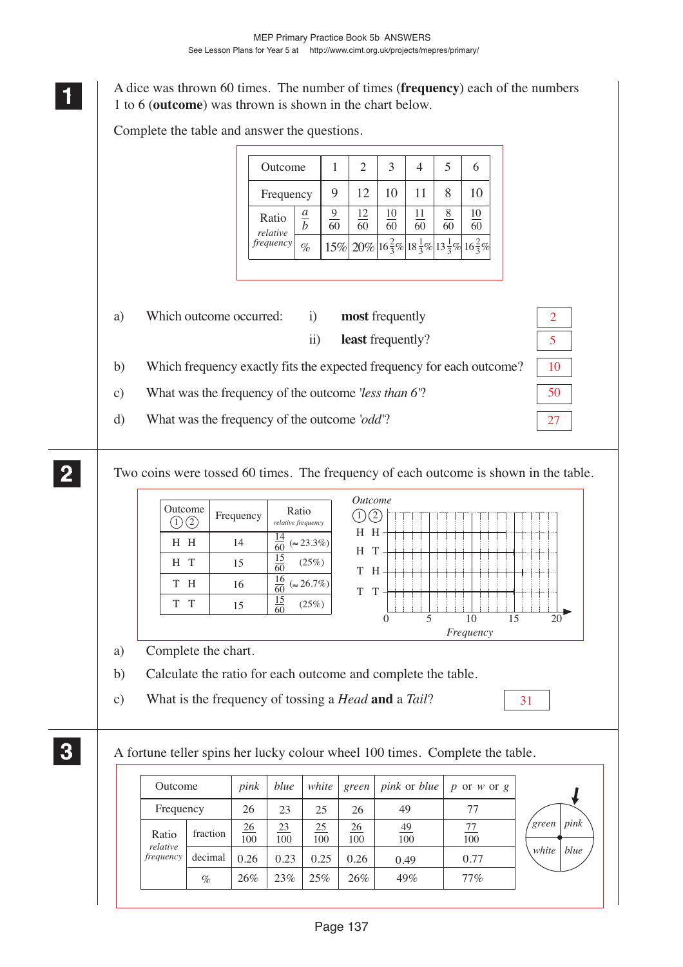**<sup>11</sup>** A dice was thrown 60 times. The number of times (**frequency**) each of the numbers 1 to 6 (**outcome**) was thrown is shown in the chart below.

Complete the table and answer the questions.

**1 11**

**2 22 22**

**3 33 33**

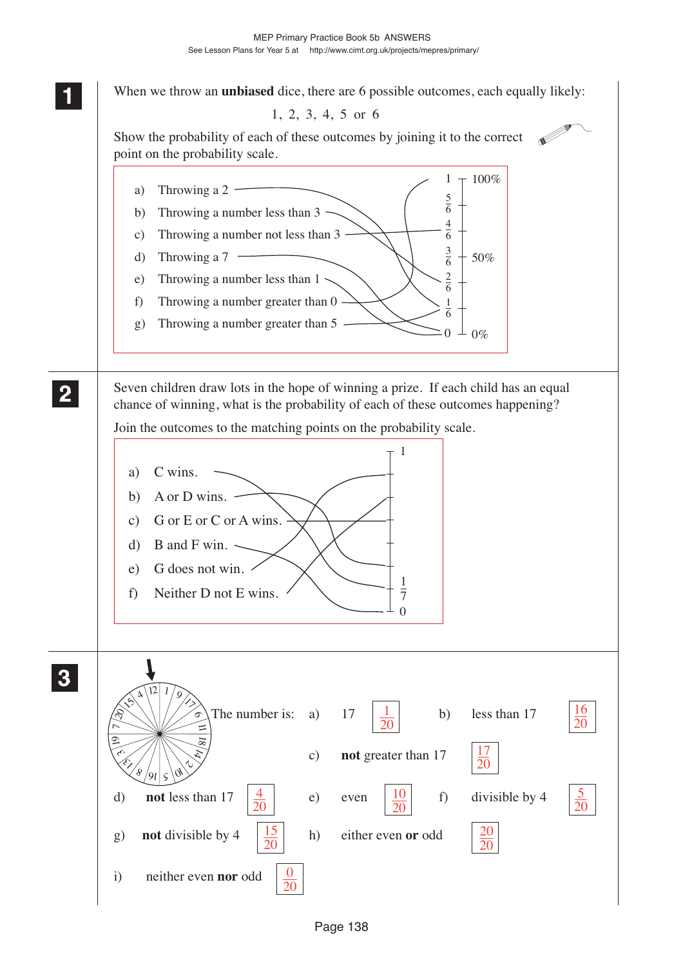**1 11** When we throw an **unbiased** dice, there are 6 possible outcomes, each equally likely: **11** 1, 2, 3, 4, 5 or 6 **RESERVE** Show the probability of each of these outcomes by joining it to the correct point on the probability scale.  $1 + 100\%$ a) Throwing a 2 -5 b) Throwing a number less than  $3 -$ 6 4 c) Throwing a number not less than 3 6 3 d) Throwing a 7 -50% 6 2 e) Throwing a number less than  $1 \sim$ 6 f) Throwing a number greater than 0 1 6 g) Throwing a number greater than 5  $0 \perp 0\%$ **2 22** Seven children draw lots in the hope of winning a prize. If each child has an equal **22** chance of winning, what is the probability of each of these outcomes happening? Join the outcomes to the matching points on the probability scale. 1 a) C wins. b) A or D wins.  $$ c) G or E or C or A wins. d) B and F win.  $\sim$ e) G does not win. 1 f) Neither D not E wins.  $\overline{7}$  $\Omega$ **3 33 33** $354/12$  $\sqrt[1]{\frac{9}{2}}$ 16 1 The number is: a)  $17 \left| \frac{1}{2} \right|$  b) less than 17  $\sigma$  $\overline{20}$ 20  $\overline{\phantom{0}}$ 11 19 18 17  $\epsilon_{\cup}$  $\hat{\varkappa}$ c) **not** greater than 17  $\overline{20}$  $\hat{\epsilon}_{\mathcal{E}}$  $\mathbb{Q}_{\mathcal{P}}$  $8/9$   $\vert$   $\varsigma$ 4 5 10 d) **not** less than 17  $\left|\frac{4}{5}\right|$  e) even  $\left|\frac{10}{5}\right|$  f) divisible by 4 20 20 20 15  $\overline{20}$ g) **not** divisible by  $4 \left| \frac{15}{26} \right|$  h) either even **or** odd 20 20 0 i) neither even **nor** odd  $\overline{20}$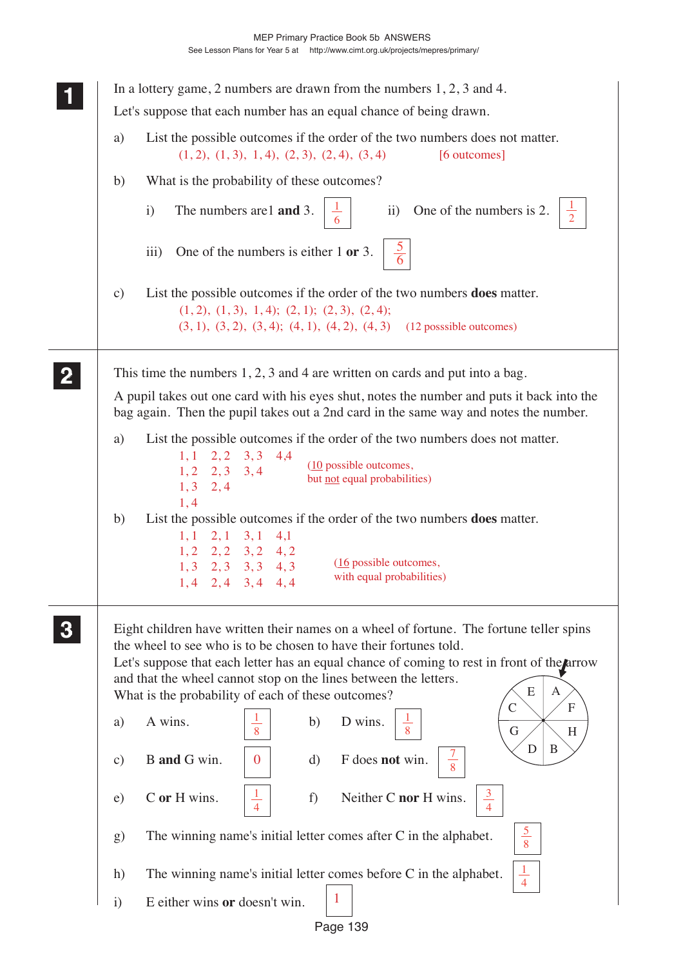|               | In a lottery game, 2 numbers are drawn from the numbers $1, 2, 3$ and $4$ .                                                                                                                                                                                                                                                                                                                                                      |
|---------------|----------------------------------------------------------------------------------------------------------------------------------------------------------------------------------------------------------------------------------------------------------------------------------------------------------------------------------------------------------------------------------------------------------------------------------|
|               | Let's suppose that each number has an equal chance of being drawn.                                                                                                                                                                                                                                                                                                                                                               |
| a)            | List the possible outcomes if the order of the two numbers does not matter.<br>$(1, 2), (1, 3), 1, 4), (2, 3), (2, 4), (3, 4)$<br>[6 outcomes]                                                                                                                                                                                                                                                                                   |
| b)            | What is the probability of these outcomes?                                                                                                                                                                                                                                                                                                                                                                                       |
|               | The numbers are 1 and 3.<br>ii) One of the numbers is 2.<br>$\mathbf{i}$<br>$\frac{1}{6}$                                                                                                                                                                                                                                                                                                                                        |
|               | One of the numbers is either $1$ or $3$ .<br>$\overline{iii}$                                                                                                                                                                                                                                                                                                                                                                    |
| $\mathbf{c})$ | List the possible outcomes if the order of the two numbers <b>does</b> matter.<br>$(1, 2), (1, 3), 1, 4); (2, 1); (2, 3), (2, 4);$<br>$(3, 1), (3, 2), (3, 4); (4, 1), (4, 2), (4, 3)$ (12 posssible outcomes)                                                                                                                                                                                                                   |
|               | This time the numbers $1, 2, 3$ and 4 are written on cards and put into a bag.<br>A pupil takes out one card with his eyes shut, notes the number and puts it back into the<br>bag again. Then the pupil takes out a 2nd card in the same way and notes the number.                                                                                                                                                              |
| a)            | List the possible outcomes if the order of the two numbers does not matter.<br>$2, 2$ $3, 3$ $4, 4$<br>1,1<br>$(10)$ possible outcomes,<br>$1, 2$ $2, 3$ $3, 4$<br>but not equal probabilities)<br>1, 3, 2, 4<br>1,4                                                                                                                                                                                                             |
| b)            | List the possible outcomes if the order of the two numbers <b>does</b> matter.<br>2,1<br>3,1<br>1,1<br>4,1<br>$1, 2$ $2, 2$ $3, 2$ $4, 2$<br>(16 possible outcomes,<br>$1, 3$ $2, 3$ $3, 3$ $4, 3$<br>with equal probabilities)<br>$1, 4$ $2, 4$ $3, 4$ $4, 4$                                                                                                                                                                   |
|               | Eight children have written their names on a wheel of fortune. The fortune teller spins<br>the wheel to see who is to be chosen to have their fortunes told.<br>Let's suppose that each letter has an equal chance of coming to rest in front of the arrow<br>and that the wheel cannot stop on the lines between the letters.<br>E<br>A<br>What is the probability of each of these outcomes?<br>$\overline{F}$<br>$\mathsf{C}$ |
| a)            | D wins.<br>A wins.<br>b)<br>8<br>G<br>H                                                                                                                                                                                                                                                                                                                                                                                          |
| $\mathbf{c})$ | D<br>B<br>$\frac{7}{8}$<br>F does not win.<br>B and G win.<br>$\boldsymbol{0}$<br>$\rm d)$                                                                                                                                                                                                                                                                                                                                       |
| e)            | $\frac{1}{4}$<br>$\frac{3}{4}$<br>Neither C nor H wins.<br>C or H wins.<br>f)                                                                                                                                                                                                                                                                                                                                                    |
| $\mathbf{g}$  | $rac{5}{8}$<br>The winning name's initial letter comes after C in the alphabet.                                                                                                                                                                                                                                                                                                                                                  |
| h)            | $\frac{1}{4}$<br>The winning name's initial letter comes before C in the alphabet.                                                                                                                                                                                                                                                                                                                                               |
| $\mathbf{i}$  | $\mathbf{1}$<br>E either wins or doesn't win.                                                                                                                                                                                                                                                                                                                                                                                    |

Page 139